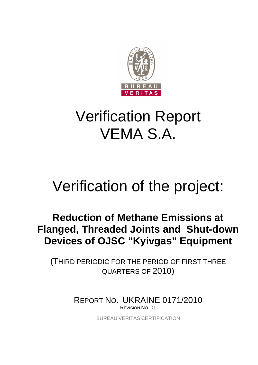

# Verification Report VEMA S.A.

# Verification of the project:

# **Reduction of Methane Emissions at Flanged, Threaded Joints and Shut-down Devices of OJSC "Kyivgas" Equipment**

(THIRD PERIODIC FOR THE PERIOD OF FIRST THREE QUARTERS OF 2010)

> REPORT NO. UKRAINE 0171/2010 REVISION NO. 01

> > BUREAU VERITAS CERTIFICATION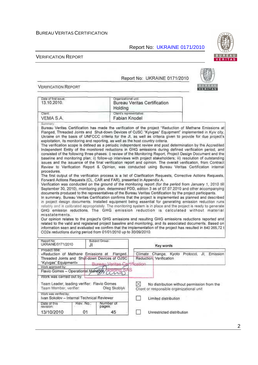Report No: UKRAINE 0171/2010

#### VERIFICATION REPORT

#### Report No: UKRAINE 0171/2010

**VERIFICATION REPORT** 

| Date of first issue:<br>13.10.2010.                                                 |                 | Organizational unit.<br>Holding                                                                                                                                                                                                                                                                                                                                                                                                                                                                                                                                                                                                                                                                                                                                                                                                                                                                                                                                                                                                                                                                                                                                                                                                                                                                                                                                                                                                                                                                                                                                                                                                                                                                                                                                                                                                                                                                                                                                                                                                                                                                                                                                                                                                                                                                                                                                                                                                                                                             | Bureau Veritas Certification              |                                                                                          |     |          |
|-------------------------------------------------------------------------------------|-----------------|---------------------------------------------------------------------------------------------------------------------------------------------------------------------------------------------------------------------------------------------------------------------------------------------------------------------------------------------------------------------------------------------------------------------------------------------------------------------------------------------------------------------------------------------------------------------------------------------------------------------------------------------------------------------------------------------------------------------------------------------------------------------------------------------------------------------------------------------------------------------------------------------------------------------------------------------------------------------------------------------------------------------------------------------------------------------------------------------------------------------------------------------------------------------------------------------------------------------------------------------------------------------------------------------------------------------------------------------------------------------------------------------------------------------------------------------------------------------------------------------------------------------------------------------------------------------------------------------------------------------------------------------------------------------------------------------------------------------------------------------------------------------------------------------------------------------------------------------------------------------------------------------------------------------------------------------------------------------------------------------------------------------------------------------------------------------------------------------------------------------------------------------------------------------------------------------------------------------------------------------------------------------------------------------------------------------------------------------------------------------------------------------------------------------------------------------------------------------------------------------|-------------------------------------------|------------------------------------------------------------------------------------------|-----|----------|
| Client<br>VEMA S.A.                                                                 |                 |                                                                                                                                                                                                                                                                                                                                                                                                                                                                                                                                                                                                                                                                                                                                                                                                                                                                                                                                                                                                                                                                                                                                                                                                                                                                                                                                                                                                                                                                                                                                                                                                                                                                                                                                                                                                                                                                                                                                                                                                                                                                                                                                                                                                                                                                                                                                                                                                                                                                                             | Client's representative:<br>Fabian Knodel |                                                                                          |     |          |
| Summary<br>procedures.<br>misstatements.                                            |                 | Bureau Veritas Certification has made the verification of the project "Reduction of Methane Emissions at<br>Flanged, Threaded Joints and Shut-down Devices of OJSC "Kyivgas" Equipment" implemented in Kyiv city,<br>Ukraine on the basis of UNFCCC criteria for the JI, as well as criteria given to provide for due project's<br>exploitation, its monitoring and reporting, as well as the host country criteria.<br>The verification scope is defined as a periodic independent review and post determination by the Accredited<br>Independent Entity of the monitored reductions in GHG emissions during defined verification period, and<br>consisted of the following three phases: i) review of the Monitoring Report, Project Design Document and the<br>baseline and monitoring plan; ii) follow-up interviews with project stakeholders; iii) resolution of outstanding<br>issues and the issuance of the final verification report and opinion. The overall verification, from Contract<br>Review to Verification Report & Opinion, was conducted using Bureau Veritas Certification internal<br>The first output of the verification process is a list of Clarification Requests, Corrective Actions Requests,<br>Forward Actions Requests (CL, CAR and FAR), presented in Appendix A.<br>Verification was conducted on the ground of the monitoring report (for the period from January 1, 2010 till<br>September 30, 2010), monitoring plan, determined PDD, edition 3 as of 07.07.2010 and other accompanying<br>documents produced to the representatives of the Bureau Veritas Certification by the project participants.<br>In summary, Bureau Veritas Certification confirms that the project is implemented as planned and described<br>in project design documents. Installed equipment being essential for generating emission reduction runs<br>reliably and is calibrated appropriately. The monitoring system is in place and the project is ready to generate<br>GHG emission reductions. The GHG emission reduction is calculated without material<br>Our opinion relates to the project's GHG emissions and resulting GHG emissions reductions reported and<br>related to the valid and registered project baseline and monitoring, and its associated documents. Based on<br>information seen and evaluated we confirm that the implementation of the project has resulted in 840 265,72 t<br>CO2e reductions during period from 01/01/2010 up to 30/09/2010. |                                           |                                                                                          |     |          |
| Report No:<br>UKRAINE/0171/2010                                                     | JI              | Subject Group:                                                                                                                                                                                                                                                                                                                                                                                                                                                                                                                                                                                                                                                                                                                                                                                                                                                                                                                                                                                                                                                                                                                                                                                                                                                                                                                                                                                                                                                                                                                                                                                                                                                                                                                                                                                                                                                                                                                                                                                                                                                                                                                                                                                                                                                                                                                                                                                                                                                                              |                                           | Key words                                                                                |     |          |
| Project title:<br>"Kyivgas" Equipment»                                              |                 | «Reduction of Methane Emissions at Flanged,<br>Threaded Joints and Shut-down Devices of OJSC<br>Rureau Ventas Ce                                                                                                                                                                                                                                                                                                                                                                                                                                                                                                                                                                                                                                                                                                                                                                                                                                                                                                                                                                                                                                                                                                                                                                                                                                                                                                                                                                                                                                                                                                                                                                                                                                                                                                                                                                                                                                                                                                                                                                                                                                                                                                                                                                                                                                                                                                                                                                            | Climate<br>tification                     | Change, Kyoto Protocol,<br>Reduction, Verification                                       | JJ. | Emission |
| Work approved by:<br>Flavio Gomes - Operational Managey<br>Work was carried out by: |                 | olding <sub>s</sub>                                                                                                                                                                                                                                                                                                                                                                                                                                                                                                                                                                                                                                                                                                                                                                                                                                                                                                                                                                                                                                                                                                                                                                                                                                                                                                                                                                                                                                                                                                                                                                                                                                                                                                                                                                                                                                                                                                                                                                                                                                                                                                                                                                                                                                                                                                                                                                                                                                                                         | S                                         |                                                                                          |     |          |
| Team Leader, leading verifier; Flavio Gomes<br>Team Member, verifier.               |                 | Oleg Skoblyk                                                                                                                                                                                                                                                                                                                                                                                                                                                                                                                                                                                                                                                                                                                                                                                                                                                                                                                                                                                                                                                                                                                                                                                                                                                                                                                                                                                                                                                                                                                                                                                                                                                                                                                                                                                                                                                                                                                                                                                                                                                                                                                                                                                                                                                                                                                                                                                                                                                                                | ⊠                                         | No distribution without permission from the<br>Client or responsible organizational unit |     |          |
| Work was verified by:<br>Ivan Sokolov - Internal Technical Reviewer                 |                 |                                                                                                                                                                                                                                                                                                                                                                                                                                                                                                                                                                                                                                                                                                                                                                                                                                                                                                                                                                                                                                                                                                                                                                                                                                                                                                                                                                                                                                                                                                                                                                                                                                                                                                                                                                                                                                                                                                                                                                                                                                                                                                                                                                                                                                                                                                                                                                                                                                                                                             |                                           | Limited distribution                                                                     |     |          |
| Date of this<br>revision:<br>13/10/2010                                             | Rev. No.:<br>01 | Number of<br>pages:<br>45                                                                                                                                                                                                                                                                                                                                                                                                                                                                                                                                                                                                                                                                                                                                                                                                                                                                                                                                                                                                                                                                                                                                                                                                                                                                                                                                                                                                                                                                                                                                                                                                                                                                                                                                                                                                                                                                                                                                                                                                                                                                                                                                                                                                                                                                                                                                                                                                                                                                   |                                           | Unrestricted distribution                                                                |     |          |



 $\begin{array}{c} 8.0 \text{ R} = \text{A} \text{U} \\ \text{W} = 0.160 \text{ V} \text{S} \end{array}$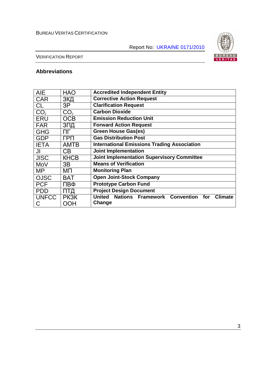Report No: UKRAINE 0171/2010



VERIFICATION REPORT

# **Abbreviations**

| <b>AIE</b>      | <b>HAO</b>      | <b>Accredited Independent Entity</b>                                   |  |  |  |  |
|-----------------|-----------------|------------------------------------------------------------------------|--|--|--|--|
| <b>CAR</b>      | ЗКД             | <b>Corrective Action Request</b>                                       |  |  |  |  |
| <b>CL</b>       | 3P              | <b>Clarification Request</b>                                           |  |  |  |  |
| CO <sub>2</sub> | CO <sub>2</sub> | <b>Carbon Dioxide</b>                                                  |  |  |  |  |
| <b>ERU</b>      | <b>OCB</b>      | <b>Emission Reduction Unit</b>                                         |  |  |  |  |
| <b>FAR</b>      | ЗПД             | <b>Forward Action Request</b>                                          |  |  |  |  |
| <b>GHG</b>      | ΠГ              | <b>Green House Gas(es)</b>                                             |  |  |  |  |
| <b>GDP</b>      | <b>FPN</b>      | <b>Gas Distribution Post</b>                                           |  |  |  |  |
| <b>IETA</b>     | <b>AMTB</b>     | <b>International Emissions Trading Association</b>                     |  |  |  |  |
| JI              | CB              | <b>Joint Implementation</b>                                            |  |  |  |  |
| <b>JISC</b>     | <b>KHCB</b>     | <b>Joint Implementation Supervisory Committee</b>                      |  |  |  |  |
| MoV             | 3B              | <b>Means of Verification</b>                                           |  |  |  |  |
| MP              | ΜП              | <b>Monitoring Plan</b>                                                 |  |  |  |  |
| <b>OJSC</b>     | <b>BAT</b>      | <b>Open Joint-Stock Company</b>                                        |  |  |  |  |
| <b>PCF</b>      | ПВФ             | <b>Prototype Carbon Fund</b>                                           |  |  |  |  |
| <b>PDD</b>      | ПТД             | <b>Project Design Document</b>                                         |  |  |  |  |
| <b>UNFCC</b>    | <b>PK3K</b>     | United<br><b>Nations Framework Convention</b><br>for<br><b>Climate</b> |  |  |  |  |
| С               | <b>OOH</b>      | Change                                                                 |  |  |  |  |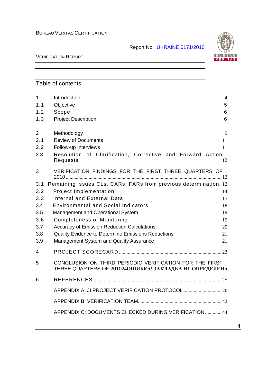Report No: UKRAINE 0171/2010



#### VERIFICATION REPORT

# Table of contents

| 1.             | Introduction                                                                                                        | 4  |
|----------------|---------------------------------------------------------------------------------------------------------------------|----|
| 1.1            | Objective                                                                                                           | 5  |
| 1.2            | Scope                                                                                                               | 6  |
| 1.3            | <b>Project Description</b>                                                                                          | 6  |
| $\overline{2}$ | Methodology                                                                                                         | 9  |
| 2.1            | <b>Review of Documents</b>                                                                                          | 11 |
| 2.2            | Follow-up Interviews                                                                                                | 11 |
| 2.3            | Resolution of Clarification, Corrective and Forward Action<br>Requests                                              | 12 |
| 3              | VERIFICATION FINDINGS FOR THE FIRST THREE QUARTERS OF                                                               |    |
| 3.1            | Remaining issues CLs, CARs, FARs from previous determination. 12                                                    |    |
| 3.2            | <b>Project Implementation</b>                                                                                       | 14 |
| 3.3            | Internal and External Data                                                                                          | 15 |
| 3.4            | <b>Environmental and Social Indicators</b>                                                                          | 18 |
| 3.5            | Management and Operational System                                                                                   | 19 |
| 3.6            | <b>Completeness of Monitoring</b>                                                                                   | 19 |
| 3.7            | <b>Accuracy of Emission Reduction Calculations</b>                                                                  | 20 |
| 3.8            | <b>Quality Evidence to Determine Emissions Reductions</b>                                                           | 21 |
| 3.9            | Management System and Quality Assurance                                                                             | 21 |
| $\overline{4}$ |                                                                                                                     |    |
| 5              | CONCLUSION ON THIRD PERIODIC VERIFICATION FOR THE FIRST<br>THREE QUARTERS OF 201024 ОШИБКА! ЗАКЛАДКА НЕ ОПРЕДЕЛЕНА. |    |
| 6              |                                                                                                                     |    |
|                |                                                                                                                     |    |
|                |                                                                                                                     |    |
|                | APPENDIX C: DOCUMENTS CHECKED DURING VERIFICATION  44                                                               |    |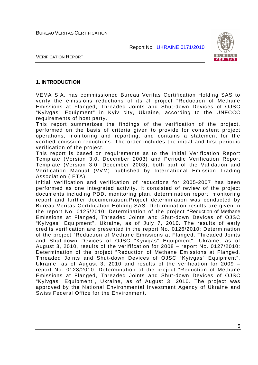

#### VERIFICATION REPORT

#### **1. INTRODUCTION**

VEMA S.A. has commissioned Bureau Veritas Certification Holding SAS to verify the emissions reductions of its JI project "Reduction of Methane Emissions at Flanged, Threaded Joints and Shut-down Devices of OJSC "Kyivgas" Equipment" in Kyiv city, Ukraine, according to the UNFCCC requirements of host party.

This report summarizes the findings of the verification of the project, performed on the basis of criteria given to provide for consistent project operations, monitoring and reporting, and contains a statement for the verified emission reductions. The order includes the initial and first periodic verification of the project.

This report is based on requirements as to the Initial Verification Report Template (Version 3.0, December 2003) and Periodic Verification Report Template (Version 3.0, December 2003), both part of the Validation and Verification Manual (VVM) published by International Emission Trading Association (IETA).

Initial verification and verification of reductions for 2005-2007 has been performed as one integrated activity. It consisted of review of the project documents including PDD, monitoring plan, determination report, monitoring report and further documentation.Project determination was conducted by Bureau Veritas Certification Holding SAS. Determination results are given in the report No. 0125/2010: Determination of the project "Reduction of Methane Emissions at Flanged, Threaded Joints and Shut-down Devices of OJSC "Kyivgas" Equipment", Ukraine, as of July 7, 2010. The results of early credits verification are presented in the report No. 0126/2010: Determination of the project "Reduction of Methane Emissions at Flanged, Threaded Joints and Shut-down Devices of OJSC "Kyivgas" Equipment", Ukraine, as of August 3, 2010, results of the verififcation for 2008 – report No. 0127/2010: Determination of the project "Reduction of Methane Emissions at Flanged, Threaded Joints and Shut-down Devices of OJSC "Kyivgas" Equipment", Ukraine, as of August 3, 2010 and results of the verification for 2009 – report No. 0128/2010: Determination of the project "Reduction of Methane Emissions at Flanged, Threaded Joints and Shut-down Devices of OJSC "Kyivgas" Equipment", Ukraine, as of August 3, 2010. The project was approved by the National Environmental Investment Agency of Ukraine and Swiss Federal Office for the Environment.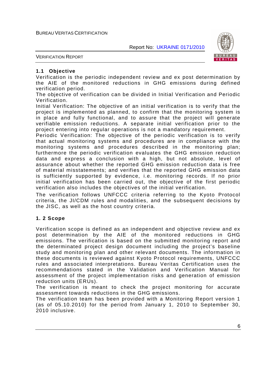

VERIFICATION REPORT

#### **1.1 Objective**

Verification is the periodic independent review and ex post determination by the AIE of the monitored reductions in GHG emissions during defined verification period.

The objective of verification can be divided in Initial Verification and Periodic Verification.

Initial Verification: The objective of an initial verification is to verify that the project is implemented as planned, to confirm that the monitoring system is in place and fully functional, and to assure that the project will generate verifiable emission reductions. A separate initial verification prior to the project entering into regular operations is not a mandatory requirement.

Periodic Verification: The objective of the periodic verification is to verify that actual monitoring systems and procedures are in compliance with the monitoring systems and procedures described in the monitoring plan; furthermore the periodic verification evaluates the GHG emission reduction data and express a conclusion with a high, but not absolute, level of assurance about whether the reported GHG emission reduction data is free of material misstatements; and verifies that the reported GHG emission data is sufficiently supported by evidence, i.e. monitoring records. If no prior initial verification has been carried out, the objective of the first periodic verification also includes the objectives of the initial verification.

The verification follows UNFCCC criteria referring to the Kyoto Protocol criteria, the JI/CDM rules and modalities, and the subsequent decisions by the JISC, as well as the host country criteria.

#### **1. 2 Scope**

Verification scope is defined as an independent and objective review and ex post determination by the AIE of the monitored reductions in GHG emissions. The verification is based on the submitted monitoring report and the determinated project design document including the project's baseline study and monitoring plan and other relevant documents. The information in these documents is reviewed against Kyoto Protocol requirements, UNFCCC rules and associated interpretations. Bureau Veritas Certification uses the recommendations stated in the Validation and Verification Manual for assessment of the project implementation risks and generation of emission reduction units (ERUs).

The verification is meant to check the project monitoring for accurate assessment towards reductions in the GHG emissions.

The verification team has been provided with a Monitoring Report version 1 (as of 05.10.2010) for the period from January 1, 2010 to September 30, 2010 inclusive.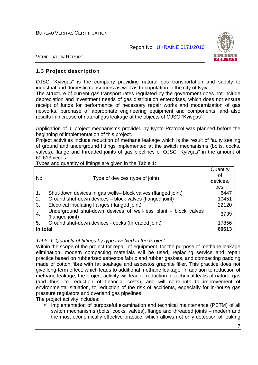

VERIFICATION REPORT

#### **1.3 Project description**

OJSC "Kyivgas" is the company providing natural gas transportation and supply to industrial and domestic consumers as well as to population in the city of Kyiv.

The structure of current gas transport rates regulated by the government does not include depreciation and investment needs of gas distribution enterprises, which does not ensure receipt of funds for performance of necessary repair works and modernization of gas networks, purchase of appropriate engineering equipment and components, and also results in increase of natural gas leakage at the objects of OJSC "Kyivgas".

Application of JI project mechanisms provided by Kyoto Protocol was planned before the beginning of implementation of this project.

Project activities include reduction of methane leakage which is the result of faulty sealing of ground and underground fittings implemented at the switch mechanisms (bolts, cocks, valves), flange and threaded joints of gas pipelines of OJSC "Kyivgas" in the amount of 60 613pieces.

| . .<br>No.       | Type of devices (type of joint)                                                    | Quantity<br>οf<br>devices,<br>pcs. |  |  |
|------------------|------------------------------------------------------------------------------------|------------------------------------|--|--|
| $\overline{1}$ . | Shut-down devices in gas wells-block valves (flanged joint)                        | 6447                               |  |  |
| 2.               | Ground shut-down devices - block valves (flanged joint)                            | 10451                              |  |  |
| $\overline{3}$ . | Electrical insulating flanges (flanged joint)                                      | 22120                              |  |  |
| $\overline{4}$ . | Underground shut-down devices of well-less plant - block valves<br>(flanged joint) | 3739                               |  |  |
| 5.               | Ground shut-down devices - cocks (threaded joint)                                  | 17856                              |  |  |
| In total         |                                                                                    |                                    |  |  |

Types and quantity of fittings are given in the Table 1:

#### Table 1. Quantity of fittings by type involved in the Project

Within the scope of the project for repair of equipment, for the purpose of methane leakage elimination, modern compacting materials will be used, replacing service and repair practice based on rubberized asbestos fabric and rubber gaskets, and compacting padding made of cotton fibre with fat soakage and asbestos graphite filler. This practice does not give long-term effect, which leads to additional methane leakage. In addition to reduction of methane leakage, the project activity will lead to reduction of technical leaks of natural gas (and thus, to reduction of financial costs), and will contribute to improvement of environmental situation, to reduction of the risk of accidents, especially for in-house gas pressure regulators and overland gas pipelines.

The project activity includes:

• Implementation of purposeful examination and technical maintenance (PETM) of all switch mechanisms (bolts, cocks, valves), flange and threaded joints – modern and the most economically effective practice, which allows not only detection of leaking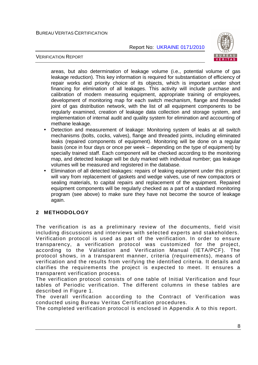

#### VERIFICATION REPORT

areas, but also determination of leakage volume (i.e., potential volume of gas leakage reduction). This key information is required for substantiation of efficiency of repair works and priority choice of its objects, which is important under short financing for elimination of all leakages. This activity will include purchase and calibration of modern measuring equipment, appropriate training of employees, development of monitoring map for each switch mechanism, flange and threaded joint of gas distribution network, with the list of all equipment components to be regularly examined, creation of leakage data collection and storage system, and implementation of internal audit and quality system for elimination and accounting of methane leakage.

- Detection and measurement of leakage: Monitoring system of leaks at all switch mechanisms (bolts, cocks, valves), flange and threaded joints, including eliminated leaks (repaired components of equipment). Monitoring will be done on a regular basis (once in four days or once per week – depending on the type of equipment) by specially trained staff. Each component will be checked according to the monitoring map, and detected leakage will be duly marked with individual number; gas leakage volumes will be measured and registered in the database.
- Elimination of all detected leakages: repairs of leaking equipment under this project will vary from replacement of gaskets and wedge valves, use of new compactors or sealing materials, to capital repairs and replacement of the equipment. Repaired equipment components will be regularly checked as a part of a standard monitoring program (see above) to make sure they have not become the source of leakage again.

#### **2 METHODOLOGY**

The verification is as a preliminary review of the documents, field visit including discussions and interviews with selected experts and stakeholders. Verification protocol is used as part of the verification. In order to ensure transparency, a verification protocol was customized for the project, according to the Validation and Verification Manual (IETA/PCF). The protocol shows, in a transparent manner, criteria (requirements), means of verification and the results from verifying the identified criteria. It details and clarifies the requirements the project is expected to meet. It ensures a transparent verification process.

The verification protocol consists of one table of Initial Verification and four tables of Periodic verification. The different columns in these tables are described in Figure 1.

The overall verification according to the Contract of Verification was conducted using Bureau Veritas Certification procedures.

The completed verification protocol is enclosed in Appendix A to this report.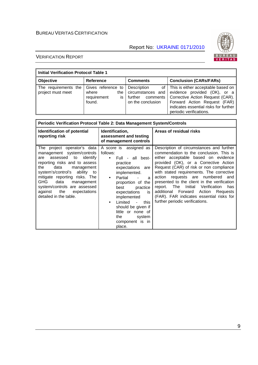

| <b>Initial Verification Protocol Table 1</b> |                                                                   |                                                                                     |                                                                                                                                                                                                                 |  |  |  |
|----------------------------------------------|-------------------------------------------------------------------|-------------------------------------------------------------------------------------|-----------------------------------------------------------------------------------------------------------------------------------------------------------------------------------------------------------------|--|--|--|
| <b>Objective</b>                             | <b>Reference</b>                                                  | <b>Comments</b>                                                                     | <b>Conclusion (CARs/FARs)</b>                                                                                                                                                                                   |  |  |  |
| The requirements the<br>project must meet    | Gives reference to<br>where<br>the<br>requirement<br>is<br>found. | <b>Description</b><br>circumstances and<br>comments<br>further<br>on the conclusion | of   This is either acceptable based on<br>evidence provided (OK), or a<br>Corrective Action Request (CAR).<br>Forward Action Request (FAR)<br>indicates essential risks for further<br>periodic verifications. |  |  |  |

| Periodic Verification Protocol Table 2: Data Management System/Controls                                                                                                                                                                                                                                                                                        |                                                                                                                                                                                                                                                                                                                                                                           |                                                                                                                                                                                                                                                                                                                                                                                                                                                                                                                              |  |  |  |  |
|----------------------------------------------------------------------------------------------------------------------------------------------------------------------------------------------------------------------------------------------------------------------------------------------------------------------------------------------------------------|---------------------------------------------------------------------------------------------------------------------------------------------------------------------------------------------------------------------------------------------------------------------------------------------------------------------------------------------------------------------------|------------------------------------------------------------------------------------------------------------------------------------------------------------------------------------------------------------------------------------------------------------------------------------------------------------------------------------------------------------------------------------------------------------------------------------------------------------------------------------------------------------------------------|--|--|--|--|
| Identification of potential<br>reporting risk                                                                                                                                                                                                                                                                                                                  | Identification,<br>assessment and testing<br>of management controls                                                                                                                                                                                                                                                                                                       | Areas of residual risks                                                                                                                                                                                                                                                                                                                                                                                                                                                                                                      |  |  |  |  |
| The project operator's data<br>management system/controls<br>assessed to<br>identify<br>are<br>reporting risks and to assess<br>data<br>the<br>management<br>ability to<br>system's/control's<br>mitigate reporting risks. The<br><b>GHG</b><br>data<br>management<br>system/controls are assessed<br>the<br>against<br>expectations<br>detailed in the table. | A score is assigned as<br>follows:<br>Full - all best-<br>$\bullet$<br>practice<br>expectations are<br>implemented.<br>Partial<br>$\bullet$<br>a<br>proportion of the<br>best<br>practice<br>expectations<br>is<br>implemented<br>Limited<br>this<br>$\blacksquare$<br>$\bullet$<br>should be given if<br>little or none of<br>the<br>system<br>component is in<br>place. | Description of circumstances and further<br>commendation to the conclusion. This is<br>either acceptable based on evidence<br>provided (OK), or a Corrective Action<br>Request (CAR) of risk or non compliance<br>with stated requirements. The corrective<br>action requests are numbered<br>and<br>presented to the client in the verification<br>Verification<br>Initial<br>report. The<br>has<br>additional Forward<br>Action<br>Requests<br>(FAR). FAR indicates essential risks for<br>further periodic verifications. |  |  |  |  |

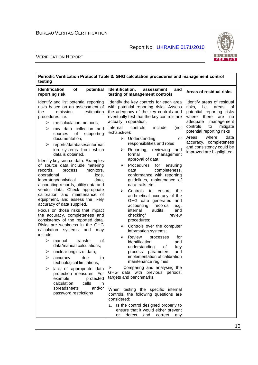

| Periodic Verification Protocol Table 3: GHG calculation procedures and management control<br>testing                                                                                                                                                                                                                                                                                                                                                                                                                                                                                                                                                                                                                                                                                                                                                                                                                                                                                                                                                                                                                                                                                                                 |                                                                                                                                                                                                                                                                                                                                                                                                                                                                                                                                                                                                                                                                                                                                                                                                                                                                                                                                                                                                                                                                                                                                                                                                                                                                                                                                    |                                                                                                                                                                                                                                                                                                                           |  |  |  |
|----------------------------------------------------------------------------------------------------------------------------------------------------------------------------------------------------------------------------------------------------------------------------------------------------------------------------------------------------------------------------------------------------------------------------------------------------------------------------------------------------------------------------------------------------------------------------------------------------------------------------------------------------------------------------------------------------------------------------------------------------------------------------------------------------------------------------------------------------------------------------------------------------------------------------------------------------------------------------------------------------------------------------------------------------------------------------------------------------------------------------------------------------------------------------------------------------------------------|------------------------------------------------------------------------------------------------------------------------------------------------------------------------------------------------------------------------------------------------------------------------------------------------------------------------------------------------------------------------------------------------------------------------------------------------------------------------------------------------------------------------------------------------------------------------------------------------------------------------------------------------------------------------------------------------------------------------------------------------------------------------------------------------------------------------------------------------------------------------------------------------------------------------------------------------------------------------------------------------------------------------------------------------------------------------------------------------------------------------------------------------------------------------------------------------------------------------------------------------------------------------------------------------------------------------------------|---------------------------------------------------------------------------------------------------------------------------------------------------------------------------------------------------------------------------------------------------------------------------------------------------------------------------|--|--|--|
| <b>Identification</b><br>potential<br><b>of</b><br>reporting risk                                                                                                                                                                                                                                                                                                                                                                                                                                                                                                                                                                                                                                                                                                                                                                                                                                                                                                                                                                                                                                                                                                                                                    | Identification,<br>and<br>assessment<br>testing of management controls                                                                                                                                                                                                                                                                                                                                                                                                                                                                                                                                                                                                                                                                                                                                                                                                                                                                                                                                                                                                                                                                                                                                                                                                                                                             | Areas of residual risks                                                                                                                                                                                                                                                                                                   |  |  |  |
| Identify and list potential reporting<br>risks based on an assessment of<br>the<br>emission<br>estimation<br>procedures, i.e.<br>the calculation methods,<br>➤<br>raw data collection and<br>⋗<br>of<br>sources<br>supporting<br>documentation,<br>reports/databases/informat<br>➤<br>ion systems from which<br>data is obtained.<br>Identify key source data. Examples<br>of source data include metering<br>monitors,<br>records.<br>process<br>operational<br>logs,<br>laboratory/analytical<br>data,<br>accounting records, utility data and<br>vendor data. Check appropriate<br>calibration and maintenance of<br>equipment, and assess the likely<br>accuracy of data supplied.<br>Focus on those risks that impact<br>the accuracy, completeness and<br>consistency of the reported data.<br>Risks are weakness in the GHG<br>calculation<br>systems<br>and<br>may<br>include:<br>transfer<br>➤<br>manual<br>οf<br>data/manual calculations,<br>unclear origins of data,<br>➤<br>due<br>⋗<br>accuracy<br>to<br>technological limitations,<br>lack of appropriate data<br>protection measures. For<br>example,<br>protected<br>calculation<br>cells<br>in.<br>spreadsheets<br>and/or<br>password restrictions | Identify the key controls for each area<br>with potential reporting risks. Assess<br>the adequacy of the key controls and<br>eventually test that the key controls are<br>actually in operation.<br>Internal<br>controls<br>include<br>(not<br>exhaustive):<br>of<br>≻<br>Understanding<br>responsibilities and roles<br>Reporting, reviewing<br>➤<br>and<br>formal<br>management<br>approval of data;<br>Procedures<br>⋗<br>for<br>ensuring<br>completeness,<br>data<br>conformance with reporting<br>guidelines, maintenance of<br>data trails etc.<br>⋗<br>Controls to<br>the<br>ensure<br>arithmetical accuracy of the<br>GHG data generated and<br>accounting<br>records<br>e.g.<br>internal<br>audits,<br>and<br>checking/<br>review<br>procedures;<br>➤<br>Controls over the computer<br>information systems;<br>➤<br><b>Review</b><br>processes<br>for<br>identification<br>and<br>understanding<br>of<br>key<br>and<br>process<br>parameters<br>implementation of calibration<br>maintenance regimes<br>Comparing and analysing the<br>GHG data with previous periods,<br>targets and benchmarks.<br>When testing the specific internal<br>controls, the following questions are<br>considered:<br>1. Is the control designed properly to<br>ensure that it would either prevent<br>detect<br>correct<br>or<br>and<br>any | Identify areas of residual<br>risks,<br>i.e.<br>areas<br>οf<br>potential reporting risks<br>where<br>there<br>are<br>no<br>adequate<br>management<br>controls<br>mitigate<br>to<br>potential reporting risks<br>Areas<br>where<br>data<br>accuracy, completeness<br>and consistency could be<br>improved are highlighted. |  |  |  |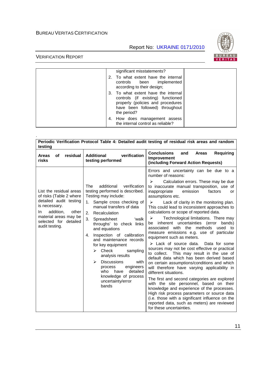Report No: UKRAINE 0171/2010



| significant misstatements?<br>2. To what extent have the internal<br>controls been implemented<br>according to their design;                                   |
|----------------------------------------------------------------------------------------------------------------------------------------------------------------|
| 3. To what extent have the internal<br>controls (if existing) functioned<br>properly (policies and procedures<br>have been followed) throughout<br>the period? |
| 4. How does management assess<br>the internal control as reliable?                                                                                             |

| testing                                                                                                                                                                                        |                                                                                                                                                                                                                                                                                                                                                                                                                                                                                                                                                  | Periodic Verification Protocol Table 4: Detailed audit testing of residual risk areas and random                                                                                                                                                                                                                                                                                                                                                                                                                                                                                                                                                                                                                                                                                                                                                                                                                                                                                                                                                                                                                                                                                                                                              |
|------------------------------------------------------------------------------------------------------------------------------------------------------------------------------------------------|--------------------------------------------------------------------------------------------------------------------------------------------------------------------------------------------------------------------------------------------------------------------------------------------------------------------------------------------------------------------------------------------------------------------------------------------------------------------------------------------------------------------------------------------------|-----------------------------------------------------------------------------------------------------------------------------------------------------------------------------------------------------------------------------------------------------------------------------------------------------------------------------------------------------------------------------------------------------------------------------------------------------------------------------------------------------------------------------------------------------------------------------------------------------------------------------------------------------------------------------------------------------------------------------------------------------------------------------------------------------------------------------------------------------------------------------------------------------------------------------------------------------------------------------------------------------------------------------------------------------------------------------------------------------------------------------------------------------------------------------------------------------------------------------------------------|
| residual<br>οf<br><b>Areas</b><br>risks                                                                                                                                                        | verification<br><b>Additional</b><br>testing performed                                                                                                                                                                                                                                                                                                                                                                                                                                                                                           | <b>Conclusions</b><br><b>Requiring</b><br><b>Areas</b><br>and<br>Improvement<br>(including Forward Action Requests)                                                                                                                                                                                                                                                                                                                                                                                                                                                                                                                                                                                                                                                                                                                                                                                                                                                                                                                                                                                                                                                                                                                           |
| List the residual areas<br>of risks (Table 2 where<br>detailed audit testing<br>is necessary.<br>addition,<br>other<br>In.<br>material areas may be<br>selected for detailed<br>audit testing. | additional<br><b>The</b><br>verification<br>testing performed is described.<br>Testing may include:<br>Sample cross checking of<br>1.<br>manual transfers of data<br>Recalculation<br>2.<br>3.<br>Spreadsheet<br>'walk<br>throughs' to check links<br>and equations<br>Inspection of calibration<br>4.<br>and maintenance records<br>for key equipment<br>Check<br>⋗<br>sampling<br>analysis results<br><b>Discussions</b><br>➤<br>with<br>engineers<br>process<br>detailed<br>who<br>have<br>knowledge of process<br>uncertainty/error<br>bands | Errors and uncertainty can be due to a<br>number of reasons:<br>Calculation errors. These may be due<br>➤<br>to inaccurate manual transposition, use of<br>emission<br>inappropriate<br>factors<br>or<br>assumptions etc.<br>Lack of clarity in the monitoring plan.<br>➤<br>This could lead to inconsistent approaches to<br>calculations or scope of reported data.<br>Technological limitations. There may<br>➤<br>inherent uncertainties (error<br>bands)<br>be<br>associated with the methods<br>used to<br>measure emissions e.g. use of particular<br>equipment such as meters.<br>$\triangleright$ Lack of source data.<br>Data for some<br>sources may not be cost effective or practical<br>This may result in the use of<br>to collect.<br>default data which has been derived based<br>on certain assumptions/conditions and which<br>will therefore have varying applicability in<br>different situations.<br>The first and second categories are explored<br>with the site personnel, based on their<br>knowledge and experience of the processes.<br>High risk process parameters or source data<br>(i.e. those with a significant influence on the<br>reported data, such as meters) are reviewed<br>for these uncertainties. |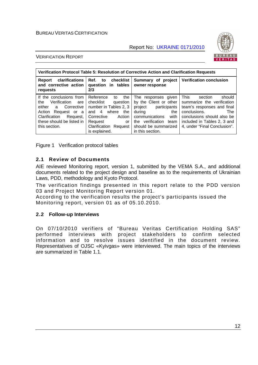

#### VERIFICATION REPORT

| Verification Protocol Table 5: Resolution of Corrective Action and Clarification Requests                                                                                                 |                                                                                                                                                                                           |                                                                                                                                                                                                |                                                                                                                                                                                                                  |  |  |
|-------------------------------------------------------------------------------------------------------------------------------------------------------------------------------------------|-------------------------------------------------------------------------------------------------------------------------------------------------------------------------------------------|------------------------------------------------------------------------------------------------------------------------------------------------------------------------------------------------|------------------------------------------------------------------------------------------------------------------------------------------------------------------------------------------------------------------|--|--|
| clarifications<br>Report<br>and corrective action<br>requests                                                                                                                             | Ref.<br>to checklist<br>question in tables<br>2/3                                                                                                                                         | Summary of project<br>owner response                                                                                                                                                           | <b>Verification conclusion</b>                                                                                                                                                                                   |  |  |
| If the conclusions from<br>Verification<br>the<br>are<br>either<br>Corrective<br>a a<br>Action<br>Request or a<br>Clarification<br>Request,<br>these should be listed in<br>this section. | Reference<br>the<br>to<br>checklist<br>question<br>number in Tables 2, 3<br>where<br>and $4$<br>the<br>Corrective<br>Action<br>Request<br>or<br>Clarification<br>Request<br>is explained. | The responses given<br>by the Client or other<br>project<br>participants<br>during<br>the<br>with<br>communications<br>verification<br>team<br>the<br>should be summarized<br>in this section. | <b>This</b><br>should<br>section<br>summarize the verification<br>team's responses and final<br>conclusions.<br>The<br>conclusions should also be<br>included in Tables 2, 3 and<br>4, under "Final Conclusion". |  |  |

Figure 1 Verification protocol tables

#### **2.1 Review of Documents**

AIE reviewed Monitoring report, version 1, submitted by the VEMA S.A., and additional documents related to the project design and baseline as to the requirements of Ukrainian Laws, PDD, methodology and Kyoto Protocol.

The verification findings presented in this report relate to the PDD version 03 and Project Monitoring Report version 01.

According to the verification results the project's participants issued the Monitoring report, version 01 as of 05.10.2010.

#### **2.2 Follow-up Interviews**

On 07/10/2010 verifiers of "Bureau Veritas Certification Holding SAS" performed interviews with project stakeholders to confirm selected information and to resolve issues identified in the document review. Representatives of OJSC «Kyivgas» were interviewed. The main topics of the interviews are summarized in Table 1.1.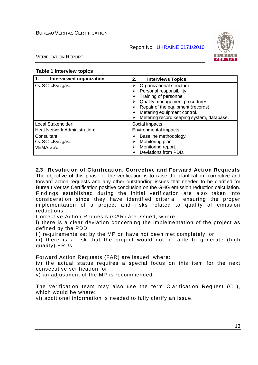

VERIFICATION REPORT

#### **Table 1 Interview topics**

| 1.                                         | 2.                                                                                                                                                                                                                                  |
|--------------------------------------------|-------------------------------------------------------------------------------------------------------------------------------------------------------------------------------------------------------------------------------------|
| Interviewed organization                   | <b>Interviews Topics</b>                                                                                                                                                                                                            |
| OJSC «Kyivgas»                             | Organizational structure.<br>Personal responsibility.<br>Training of personnel.<br>Quality management procedures.<br>Repair of the equipment (records).<br>Metering equipment control.<br>Metering record keeping system, database. |
| Local Stakeholder:                         | Social impacts.                                                                                                                                                                                                                     |
| <b>Heat Network Administration:</b>        | Environmental impacts.                                                                                                                                                                                                              |
| Consultant:<br>OJSC «Kyivgas»<br>VEMA S.A. | Baseline methodology.<br>Monitoring plan.<br>Monitoring report.<br>Deviations from PDD.                                                                                                                                             |

#### **2.3 Resolution of Clarification, Corrective and Forward Action Requests**

The objective of this phase of the verification is to raise the clarification, corrective and forward action requests and any other outstanding issues that needed to be clarified for Bureau Veritas Certification positive conclusion on the GHG emission reduction calculation. Findings established during the initial verification are also taken into consideration since they have identified criteria ensuring the proper implementation of a project and risks related to quality of emission reductions.

Corrective Action Requests (CAR) are issued, where:

i) there is a clear deviation concerning the implementation of the project as defined by the PDD;

ii) requirements set by the MP on have not been met completely; or

iii) there is a risk that the project would not be able to generate (high quality) ERUs.

Forward Action Requests (FAR) are issued, where:

iv) the actual status requires a special focus on this item for the next consecutive verification, or

v) an adjustment of the MP is recommended.

The verification team may also use the term Clarification Request (CL), which would be where:

vi) additional information is needed to fully clarify an issue.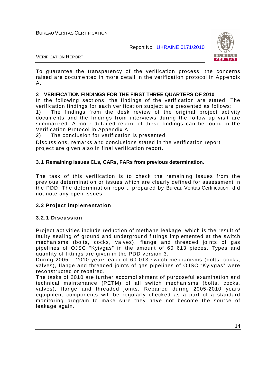

VERIFICATION REPORT

To guarantee the transparency of the verification process, the concerns raised are documented in more detail in the verification protocol in Appendix A.

#### **3 VERIFICATION FINDINGS FOR THE FIRST THREE QUARTERS OF 2010**

In the following sections, the findings of the verification are stated. The verification findings for each verification subject are presented as follows:

1) The findings from the desk review of the original project activity documents and the findings from interviews during the follow up visit are summarized. A more detailed record of these findings can be found in the Verification Protocol in Appendix A.

2) The conclusion for verification is presented.

Discussions, remarks and conclusions stated in the verification report project are given also in final verification report.

#### **3.1 Remaining issues CLs, CARs, FARs from previous determination.**

The task of this verification is to check the remaining issues from the previous determination or issues which are clearly defined for assessment in the PDD. The determination report, prepared by Bureau Veritas Certification, did not note any open issues.

#### **3.2 Project implementation**

#### **3.2.1 Discussion**

Project activities include reduction of methane leakage, which is the result of faulty sealing of ground and underground fittings implemented at the switch mechanisms (bolts, cocks, valves), flange and threaded joints of gas pipelines of OJSC "Kyivgas" in the amount of 60 613 pieces. Types and quantity of fittings are given in the PDD version 3.

During 2005 – 2010 years each of 60 013 switch mechanisms (bolts, cocks, valves), flange and threaded joints of gas pipelines of OJSC "Kyivgas" were reconstructed or repaired.

The tasks of 2010 are further accomplishment of purposeful examination and technical maintenance (PETM) of all switch mechanisms (bolts, cocks, valves), flange and threaded joints. Repaired during 2005-2010 years equipment components will be regularly checked as a part of a standard monitoring program to make sure they have not become the source of leakage again.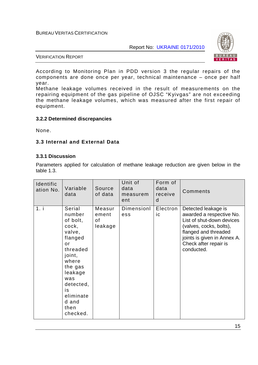Report No: UKRAINE 0171/2010



VERIFICATION REPORT

According to Monitoring Plan in PDD version 3 the regular repairs оf the components are done once per year, technical maintenance – once per half year.

Methane leakage volumes received in the result of measurements on the repairing equipment of the gas pipeline of OJSC "Kyivgas" are not exceeding the methane leakage volumes, which was measured after the first repair of equipment.

#### **3.2.2 Determined discrepancies**

None.

#### **3.3 Internal and External Data**

#### **3.3.1 Discussion**

Parameters applied for calculation of methane leakage reduction are given below in the table 1.3.

| Identific<br>ation No. | Variable<br>data                                                                                                                                                                          | Source<br>of data                | Unit of<br>data<br>measurem<br>ent | Form of<br>data<br>receive<br>d | Comments                                                                                                                                                                                              |
|------------------------|-------------------------------------------------------------------------------------------------------------------------------------------------------------------------------------------|----------------------------------|------------------------------------|---------------------------------|-------------------------------------------------------------------------------------------------------------------------------------------------------------------------------------------------------|
| 1. i                   | Serial<br>number<br>of bolt,<br>cock,<br>valve,<br>flanged<br>or<br>threaded<br>joint,<br>where<br>the gas<br>leakage<br>was<br>detected,<br>is<br>eliminate<br>d and<br>then<br>checked. | Measur<br>ement<br>οf<br>leakage | Dimensionl<br>ess                  | Electron<br>ic                  | Detected leakage is<br>awarded a respective No.<br>List of shut-down devices<br>(valves, cocks, bolts),<br>flanged and threaded<br>joints is given in Annex A.<br>Check after repair is<br>conducted. |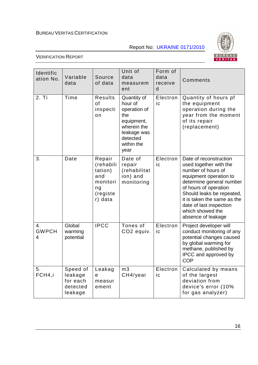Report No: UKRAINE 0171/2010



| Identific<br>ation No.  | Variable<br>data                                       | Source<br>of data                                                              | Unit of<br>data<br>measurem<br>ent                                                                                          | Form of<br>data<br>receive<br>d | Comments                                                                                                                                                                                                                                                                               |
|-------------------------|--------------------------------------------------------|--------------------------------------------------------------------------------|-----------------------------------------------------------------------------------------------------------------------------|---------------------------------|----------------------------------------------------------------------------------------------------------------------------------------------------------------------------------------------------------------------------------------------------------------------------------------|
| 2. Ti                   | Time                                                   | Results<br>of<br>inspecti<br>on                                                | Quantity of<br>hour of<br>operation of<br>the<br>equipment,<br>wherein the<br>leakage was<br>detected<br>within the<br>year | Electron<br>ic                  | Quantity of hours pf<br>the equipment<br>operation during the<br>year from the moment<br>of its repair<br>(replacement)                                                                                                                                                                |
| 3.                      | Date                                                   | Repair<br>(rehabili<br>tation)<br>and<br>monitori<br>ng<br>(registe<br>r) data | Date of<br>repair<br>(rehabilitat<br>ion) and<br>monitoring                                                                 | Electron<br>ic                  | Date of reconstruction<br>used together with the<br>number of hours of<br>equipment operation to<br>determine general number<br>of hours of operation<br>Should leaks be repeated,<br>it is taken the same as the<br>date of last inspection<br>which showed the<br>absence of leakage |
| 4.<br><b>GWPCH</b><br>4 | Global<br>warming<br>potential                         | <b>IPCC</b>                                                                    | Tones of<br>CO <sub>2</sub> equiv.                                                                                          | Electron<br>ic                  | Project developer will<br>conduct monitoring of any<br>potential changes caused<br>by global warming for<br>methane, published by<br>IPCC and approved by<br><b>COP</b>                                                                                                                |
| 5.<br>FCH4,i            | Speed of<br>leakage<br>for each<br>detected<br>leakage | Leakag<br>e<br>measur<br>ement                                                 | m <sub>3</sub><br>CH4/year                                                                                                  | Electron<br>ic                  | Calculated by means<br>of the largest<br>deviation from<br>device's error (10%<br>for gas analyzer)                                                                                                                                                                                    |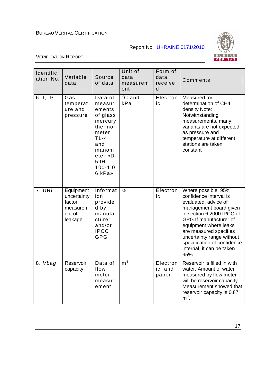Report No: UKRAINE 0171/2010



| Identific<br>ation No. | Variable<br>data                                                     | Source<br>of data                                                                                                                             | Unit of<br>data<br>measurem<br>ent | Form of<br>data<br>receive<br>d | Comments                                                                                                                                                                                                                                                                                                  |
|------------------------|----------------------------------------------------------------------|-----------------------------------------------------------------------------------------------------------------------------------------------|------------------------------------|---------------------------------|-----------------------------------------------------------------------------------------------------------------------------------------------------------------------------------------------------------------------------------------------------------------------------------------------------------|
| 6. t, P                | Gas<br>temperat<br>ure and<br>pressure                               | Data of<br>measur<br>ements<br>of glass<br>mercury<br>thermo<br>meter<br>$TL-4$<br>and<br>manom<br>eter «D-<br>59H-<br>$100 - 1.0$<br>6 kPa». | ${}^{0}C$ and<br>kPa               | Electron<br>ic                  | Measured for<br>determination of CH4<br>density Note:<br>Notwithstanding<br>measurements, many<br>variants are not expected<br>as pressure and<br>temperature at different<br>stations are taken<br>constant                                                                                              |
| 7. URi                 | Equipment<br>uncertainty<br>factor;<br>measurem<br>ent of<br>leakage | Informat<br>ion<br>provide<br>d by<br>manufa<br>cturer<br>and/or<br><b>IPCC</b><br><b>GPG</b>                                                 | %                                  | Electron<br>ic                  | Where possible, 95%<br>confidence interval is<br>evaluated; advice of<br>management board given<br>in section 6 2000 IPCC of<br>GPG If manufacturer of<br>equipment where leaks<br>are measured specifies<br>uncertainty range without<br>specification of confidence<br>internal, it can be taken<br>95% |
| 8. Vbag                | Reservoir<br>capacity                                                | Data of<br>flow<br>meter<br>measur<br>ement                                                                                                   | m <sub>1</sub>                     | Electron<br>ic and<br>paper     | Reservoir is filled in with<br>water. Amount of water<br>measured by flow meter<br>will be reservoir capacity<br>Measurement showed that<br>reservoir capacity is 0.87<br>$m3$ .                                                                                                                          |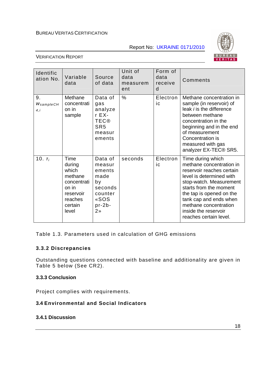Report No: UKRAINE 0171/2010



#### VERIFICATION REPORT

| Identific<br>ation No.              | Variable<br>data                                                                                       | Source<br>of data                                                                                     | Unit of<br>data<br>measurem<br>ent | Form of<br>data<br>receive<br>d | Comments                                                                                                                                                                                                                                                                                     |
|-------------------------------------|--------------------------------------------------------------------------------------------------------|-------------------------------------------------------------------------------------------------------|------------------------------------|---------------------------------|----------------------------------------------------------------------------------------------------------------------------------------------------------------------------------------------------------------------------------------------------------------------------------------------|
| 9.<br>$W_{\text{sample}CH}$<br>4, i | Methane<br>concentrati<br>on in<br>sample                                                              | Data of<br>gas<br>analyze<br>r EX-<br><b>TEC®</b><br>SR <sub>5</sub><br>measur<br>ements              | $\%$                               | Electron<br>ic                  | Methane concentration in<br>sample (in reservoir) of<br>leak <i>i</i> is the difference<br>between methane<br>concentration in the<br>beginning and in the end<br>of measurement<br>Concentration is<br>measured with gas<br>analyzer EX-TEC <sup>®</sup> SR5.                               |
| 10. $T_i$                           | Time<br>during<br>which<br>methane<br>concentrati<br>on in<br>reservoir<br>reaches<br>certain<br>level | Data of<br>measur<br>ements<br>made<br>by<br>seconds<br>counter<br>«SOS<br>$pr-2b-$<br>2 <sub>n</sub> | seconds                            | Electron<br>ic                  | Time during which<br>methane concentration in<br>reservoir reaches certain<br>level is determined with<br>stop-watch. Measurement<br>starts from the moment<br>the tap is opened on the<br>tank cap and ends when<br>methane concentration<br>inside the reservoir<br>reaches certain level. |

Table 1.3. Parameters used in calculation of GHG emissions

#### **3.3.2 Discrepancies**

Outstanding questions connected with baseline and additionality are given in Table 5 below (See CR2).

#### **3.3.3 Conclusion**

Project complies with requirements.

#### **3.4 Environmental and Social Indicators**

#### **3.4.1 Discussion**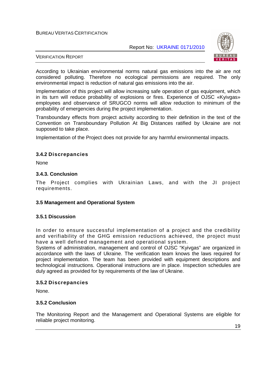Report No: UKRAINE 0171/2010



#### VERIFICATION REPORT

According to Ukrainian environmental norms natural gas emissions into the air are not considered polluting. Therefore no ecological permissions are required. The only environmental impact is reduction of natural gas emissions into the air.

Implementation of this project will allow increasing safe operation of gas equipment, which in its turn will reduce probability of explosions or fires. Experience of OJSC «Kyivgas» employees and observance of SRUGCO norms will allow reduction to minimum of the probability of emergencies during the project implementation.

Transboundary effects from project activity according to their definition in the text of the Convention on Transboundary Pollution At Big Distances ratified by Ukraine are not supposed to take place.

Implementation of the Project does not provide for any harmful environmental impacts.

#### **3.4.2 Discrepancies**

None

#### **3.4.3. Conclusion**

The Project complies with Ukrainian Laws, and with the JI project requirements.

#### **3.5 Management and Operational System**

#### **3.5.1 Discussion**

In order to ensure successful implementation of a project and the credibility and verifiability of the GHG emission reductions achieved, the project must have a well defined management and operational system.

Systems of administration, management and control of OJSC "Kyivgas" are organized in accordance with the laws of Ukraine. The verification team knows the laws required for project implementation. The team has been provided with equipment descriptions and technological instructions. Operational instructions are in place. Inspection schedules are duly agreed as provided for by requirements of the law of Ukraine.

#### **3.5.2 Discrepancies**

None.

#### **3.5.2 Conclusion**

The Monitoring Report and the Management and Operational Systems are eligible for reliable project monitoring.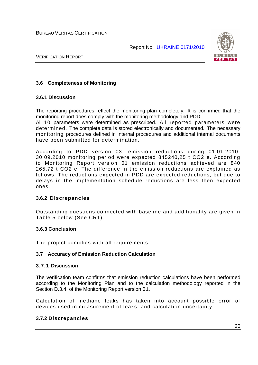

VERIFICATION REPORT

#### **3.6 Completeness of Monitoring**

#### **3.6.1 Discussion**

The reporting procedures reflect the monitoring plan completely. It is confirmed that the monitoring report does comply with the monitoring methodology and PDD.

All 10 parameters were determined as prescribed. All reported parameters were determined. The complete data is stored electronically and documented. The necessary monitoring procedures defined in internal procedures and additional internal documents have been submitted for determination.

According to PDD version 03, emission reductions during 01.01.2010- 30.09.2010 monitoring period were expected 845240,25 t CO2 e. According to Monitoring Report version 01 emission reductions achieved are 840 265,72 t CO2 e. The difference in the emission reductions are explained as follows. The reductions expected in PDD are expected reductions, but due to delays in the implementation schedule reductions are less then expected ones.

#### **3.6.2 Discrepancies**

Outstanding questions connected with baseline and additionality are given in Table 5 below (See CR1).

#### **3.6.3 Conclusion**

The project complies with all requirements.

#### **3.7 Accuracy of Emission Reduction Calculation**

#### **3.7.1 Discussion**

The verification team confirms that emission reduction calculations have been performed according to the Monitoring Plan and to the calculation methodology reported in the Section D.3.4. of the Monitoring Report version 01.

Calculation of methane leaks has taken into account possible error of devices used in measurement of leaks, and calculation uncertainty.

#### **3.7.2 Discrepancies**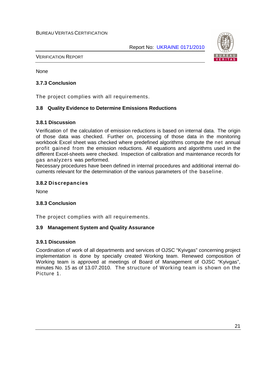

VERIFICATION REPORT

None

#### **3.7.3 Conclusion**

The project complies with all requirements.

#### **3.8 Quality Evidence to Determine Emissions Reductions**

#### **3.8.1 Discussion**

Verification of the calculation of emission reductions is based on internal data. The origin of those data was checked. Further on, processing of those data in the monitoring workbook Excel sheet was checked where predefined algorithms compute the net annual profit gained from the emission reductions. All equations and algorithms used in the different Excel-sheets were checked. Inspection of calibration and maintenance records for gas analyzers was performed.

Necessary procedures have been defined in internal procedures and additional internal documents relevant for the determination of the various parameters of the baseline.

#### **3.8.2 Discrepancies**

None

#### **3.8.3 Conclusion**

The project complies with all requirements.

#### **3.9 Management System and Quality Assurance**

#### **3.9.1 Discussion**

Coordination of work of all departments and services of OJSC "Kyivgas" concerning project implementation is done by specially created Working team. Renewed composition of Working team is approved at meetings of Board of Management of OJSC "Kyivgas", minutes No. 15 as of 13.07.2010. The structure of Working team is shown on the Picture 1.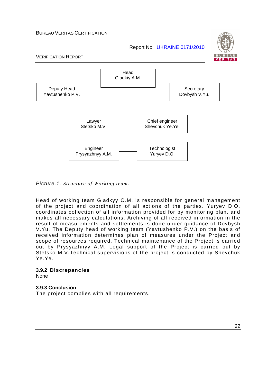Report No: UKRAINE 0171/2010



VERIFICATION REPORT



Picture.1. *Structure of Working team*.

Head of working team Gladkyy O.M. is responsible for general management of the project and coordination of all actions of the parties. Yuryev D.O. coordinates collection of all information provided for by monitoring plan, and makes all necessary calculations. Archiving of all received information in the result of measurements and settlements is done under guidance of Dovbysh V.Yu. The Deputy head of working team (Yavtushenko P.V.) on the basis of received information determines plan of measures under the Project and scope of resources required. Technical maintenance of the Project is carried out by Prysyazhnyy A.M. Legal support of the Project is carried out by Stetsko M.V.Technical supervisions of the project is conducted by Shevchuk Ye.Ye.

#### **3.9.2 Discrepancies**

None

#### **3.9.3 Conclusion**

The project complies with all requirements.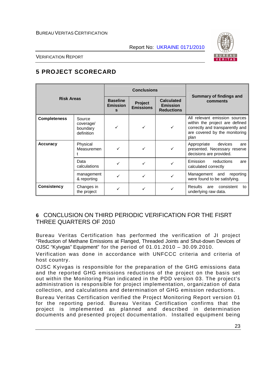

VERIFICATION REPORT

# **5 PROJECT SCORECARD**

| <b>Risk Areas</b>   |                                               |                                         | <b>Conclusions</b>          |                                                           |                                                                                                                                             |
|---------------------|-----------------------------------------------|-----------------------------------------|-----------------------------|-----------------------------------------------------------|---------------------------------------------------------------------------------------------------------------------------------------------|
|                     |                                               | <b>Baseline</b><br><b>Emission</b><br>s | Project<br><b>Emissions</b> | <b>Calculated</b><br><b>Emission</b><br><b>Reductions</b> | Summary of findings and<br>comments                                                                                                         |
| <b>Completeness</b> | Source<br>coverage/<br>boundary<br>definition |                                         |                             |                                                           | All relevant emission sources<br>within the project are defined<br>correctly and transparently and<br>are covered by the monitoring<br>plan |
| <b>Accuracy</b>     | Physical<br>Measuremen                        |                                         |                             |                                                           | Appropriate<br>devices<br>are<br>presented. Necessary reserve<br>decisions are provided.                                                    |
|                     | Data<br>calculations                          |                                         |                             |                                                           | <b>Emission</b><br>reductions<br>are<br>calculated correctly                                                                                |
|                     | management<br>& reporting                     |                                         |                             |                                                           | Management and<br>reporting<br>were found to be satisfying.                                                                                 |
| <b>Consistency</b>  | Changes in<br>the project                     |                                         |                             |                                                           | <b>Results</b><br>consistent<br>are<br>to<br>underlying raw data.                                                                           |

# **6** CONCLUSION ON THIRD PERIODIC VERIFICATION FOR THE FISRT THREE QUARTERS OF 2010

Bureau Veritas Certification has performed the verification of JI project "Reduction of Methane Emissions at Flanged, Threaded Joints and Shut-down Devices of OJSC "Kyivgas" Equipment" for the period of 01.01.2010 – 30.09.2010.

Verification was done in accordance with UNFCCC criteria and criteria of host country.

OJSC Kyivgas is responsible for the preparation of the GHG emissions data and the reported GHG emissions reductions of the project on the basis set out within the Monitoring Plan indicated in the PDD version 03. The project's administration is responsible for project implementation, organization of data collection, and calculations and determination of GHG emission reductions.

Bureau Veritas Certification verified the Project Monitoring Report version 01 for the reporting period. Bureau Veritas Certification confirms that the project is implemented as planned and described in determination documents and presented project documentation. Installed equipment being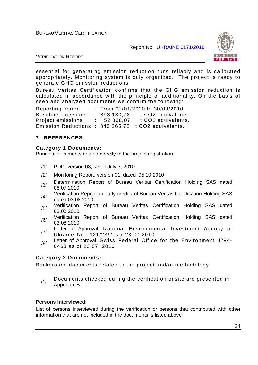Report No: UKRAINE 0171/2010



VERIFICATION REPORT

essential for generating emission reduction runs reliably and is calibrated appropriately. Monitoring system is duly organized. The project is ready to generate GHG emission reductions.

Bureau Veritas Certification confirms that the GHG emission reduction is calculated in accordance with the principle of additionality. On the basis of seen and analyzed documents we confirm the following:

Reporting period : From 01/01/2010 to 30/09/2010 Baseline emissions : 893 133,78 t CO2 equivalents. Project emissions : 52 868,07 t CO2 equivalents. Emission Reductions : 840 265,72 t CO2 equivalents.

#### **7 REFERENCES**

#### **Category 1 Documents:**

Principal documents related directly to the project registration.

- /1/ PDD, version 03, as of July 7, 2010
- /2/ Monitoring Report, version 01, dated 05.10.2010
- /3/ Determination Report of Bureau Veritas Certification Holding SAS dated 08.07.2010
- /4/ Verification Report on early credits of Bureau Veritas Certification Holding SAS dated 03.08.2010
- /5/ Verification Report of Bureau Veritas Certification Holding SAS dated 03.08.2010
- /6/ Verification Report of Bureau Veritas Certification Holding SAS dated 03.08.2010
- /7/ Letter of Approval, National Environmental Investment Agency of Ukraine, No. 1121/23/7as of 28.07.2010.
- /8/ Letter of Approval, Swiss Federal Office for the Environment J294-0463 as of 23.07. 2010

#### **Category 2 Documents:**

Background documents related to the project and/or methodology.

/1/ Documents checked during the verification onsite are presented in Appendix B

#### **Persons interviewed:**

List of persons interviewed during the verification or persons that contributed with other information that are not included in the documents is listed above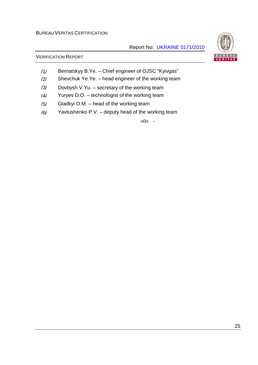#### Report No: UKRAINE 0171/2010

#### VERIFICATION REPORT

- /1/ Bernatskyy B.Ye. Chief engineer of OJSC "Kyivgas"
- /2/ Shevchuk Ye.Ye. head engineer of the working team
- /3/ Dovbysh V.Yu. secretary of the working team
- /4/ Yuryev D.O. technologist of the working team
- /5/ Gladkyi O.M. head of the working team
- /6/ Yavtushenko P.V. deputy head of the working team

o0o -

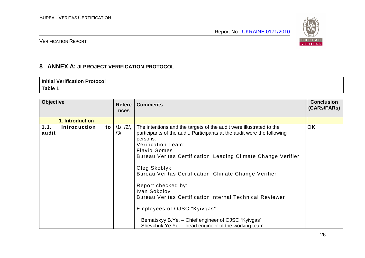

VERIFICATION REPORT

# **8 ANNEX A: JI PROJECT VERIFICATION PROTOCOL**

#### **Initial Verification Protocol Table 1**

| <b>Objective</b> |                 |    | <b>Refere</b><br>nces  | <b>Comments</b>                                                                                                                                                                                                                                                                                                                                                                                                                                                                                                                                                                                        | <b>Conclusion</b><br>(CARs/FARs) |
|------------------|-----------------|----|------------------------|--------------------------------------------------------------------------------------------------------------------------------------------------------------------------------------------------------------------------------------------------------------------------------------------------------------------------------------------------------------------------------------------------------------------------------------------------------------------------------------------------------------------------------------------------------------------------------------------------------|----------------------------------|
|                  | 1. Introduction |    |                        |                                                                                                                                                                                                                                                                                                                                                                                                                                                                                                                                                                                                        |                                  |
| 1.1.<br>audit    | Introduction    | to | $/1/$ , $/2/$ ,<br>/3/ | The intentions and the targets of the audit were illustrated to the<br>participants of the audit. Participants at the audit were the following<br>persons:<br>Verification Team:<br><b>Flavio Gomes</b><br>Bureau Veritas Certification Leading Climate Change Verifier<br>Oleg Skoblyk<br>Bureau Veritas Certification Climate Change Verifier<br>Report checked by:<br>Ivan Sokolov<br><b>Bureau Veritas Certification Internal Technical Reviewer</b><br>Employees of OJSC "Kyivgas":<br>Bernatskyy B.Ye. - Chief engineer of OJSC "Kyivgas"<br>Shevchuk Ye.Ye. – head engineer of the working team | <b>OK</b>                        |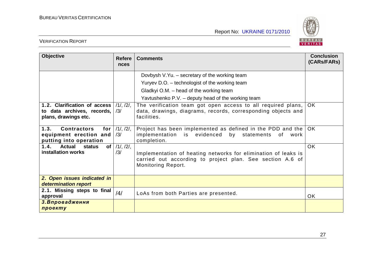

| <b>Objective</b>                                                                      | <b>Refere</b><br>nces  | <b>Comments</b>                                                                                                                                   | <b>Conclusion</b><br>(CARs/FARs) |
|---------------------------------------------------------------------------------------|------------------------|---------------------------------------------------------------------------------------------------------------------------------------------------|----------------------------------|
|                                                                                       |                        | Dovbysh V.Yu. - secretary of the working team                                                                                                     |                                  |
|                                                                                       |                        | Yuryev D.O. - technologist of the working team                                                                                                    |                                  |
|                                                                                       |                        | Gladkyi O.M. – head of the working team                                                                                                           |                                  |
|                                                                                       |                        | Yavtushenko P.V. - deputy head of the working team                                                                                                |                                  |
| 1.2. Clarification of access<br>to data archives, records,<br>plans, drawings etc.    | $/1/$ , $/2/$ ,<br>/3/ | The verification team got open access to all required plans,<br>data, drawings, diagrams, records, corresponding objects and<br>facilities.       | OK.                              |
| 1.3.<br><b>Contractors</b><br>for<br>equipment erection and<br>putting into operation | $/1/$ , $/2/$ ,<br>/3/ | Project has been implemented as defined in the PDD and the<br>implementation is evidenced<br>by statements<br>of<br>work<br>completion.           | OK.                              |
| 1.4.<br><b>Actual</b><br>of <sub>l</sub><br>status<br>installation works              | $/1/$ , $/2/$ ,<br>/3/ | Implementation of heating networks for elimination of leaks is<br>carried out according to project plan. See section A.6 of<br>Monitoring Report. | OK                               |
| 2. Open issues indicated in<br>determination report                                   |                        |                                                                                                                                                   |                                  |
| 2.1. Missing steps to final<br>approval                                               | $\frac{14}{3}$         | LoAs from both Parties are presented.                                                                                                             | OK.                              |
| 3. Впровадження<br>проекту                                                            |                        |                                                                                                                                                   |                                  |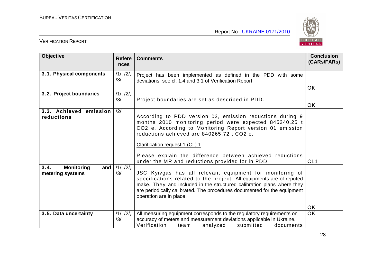

| <b>Objective</b>                                         | <b>Refere</b><br><b>nces</b> | <b>Comments</b>                                                                                                                                                                                                                                                                                                                                                                   | <b>Conclusion</b><br>(CARs/FARs) |
|----------------------------------------------------------|------------------------------|-----------------------------------------------------------------------------------------------------------------------------------------------------------------------------------------------------------------------------------------------------------------------------------------------------------------------------------------------------------------------------------|----------------------------------|
| 3.1. Physical components                                 | 11, 121,<br>/3/              | Project has been implemented as defined in the PDD with some<br>deviations, see cl. 1.4 and 3.1 of Verification Report                                                                                                                                                                                                                                                            |                                  |
|                                                          |                              |                                                                                                                                                                                                                                                                                                                                                                                   | OK                               |
| 3.2. Project boundaries                                  | 11, 121,<br>/3/              | Project boundaries are set as described in PDD.                                                                                                                                                                                                                                                                                                                                   | OK.                              |
| 3.3. Achieved emission<br>reductions                     | /2/                          | According to PDD version 03, emission reductions during 9<br>months 2010 monitoring period were expected 845240,25 t<br>CO2 e. According to Monitoring Report version 01 emission<br>reductions achieved are 840265,72 t CO2 e.<br>Clarification request 1 (CL) 1<br>Please explain the difference between achieved reductions<br>under the MR and reductions provided for in PDD | CL <sub>1</sub>                  |
| 3.4.<br><b>Monitoring</b><br>and $ $<br>metering systems | 11, 121,<br>/3/              | JSC Kyivgas has all relevant equipment for monitoring of<br>specifications related to the project. All equipments are of reputed<br>make. They and included in the structured calibration plans where they<br>are periodically calibrated. The procedures documented for the equipment<br>operation are in place.                                                                 | <b>OK</b>                        |
| 3.5. Data uncertainty                                    | 11, 121,<br>/3/              | All measuring equipment corresponds to the regulatory requirements on<br>accuracy of meters and measurement deviations applicable in Ukraine.<br>Verification<br>submitted<br>analyzed<br>documents<br>team                                                                                                                                                                       | <b>OK</b>                        |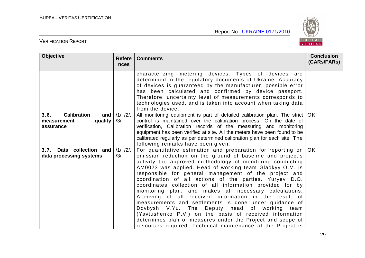

| <b>Objective</b>                                                             | <b>Refere</b><br><b>nces</b> | <b>Comments</b>                                                                                                                                                                                                                                                                                                                                                                                                                                                                                                                                                                                                                                                                                                                                                                                                                                              | <b>Conclusion</b><br>(CARs/FARs) |
|------------------------------------------------------------------------------|------------------------------|--------------------------------------------------------------------------------------------------------------------------------------------------------------------------------------------------------------------------------------------------------------------------------------------------------------------------------------------------------------------------------------------------------------------------------------------------------------------------------------------------------------------------------------------------------------------------------------------------------------------------------------------------------------------------------------------------------------------------------------------------------------------------------------------------------------------------------------------------------------|----------------------------------|
|                                                                              |                              | characterizing metering devices. Types of devices are<br>determined in the regulatory documents of Ukraine. Accuracy<br>of devices is guaranteed by the manufacturer, possible error<br>has been calculated and confirmed by device passport.<br>Therefore, uncertainty level of measurements corresponds to<br>technologies used, and is taken into account when taking data<br>from the device.                                                                                                                                                                                                                                                                                                                                                                                                                                                            |                                  |
| <b>Calibration</b><br>3.6.<br>and $ $<br>quality<br>measurement<br>assurance | $/1/$ , $/2/$ ,<br>/3/       | All monitoring equipment is part of detailed calibration plan. The strict<br>control is maintained over the calibration process. On the date of<br>verification, Calibration records of the measuring and monitoring<br>equipment has been verified at site. All the meters have been found to be<br>calibrated regularly as per determined calibration plan for each site. The<br>following remarks have been given.                                                                                                                                                                                                                                                                                                                                                                                                                                        | <b>OK</b>                        |
| 3.7. Data collection and<br>data processing systems                          | /11, /21,<br>/3/             | For quantitative estimation and preparation for reporting on<br>emission reduction on the ground of baseline and project's<br>activity the approved methodology of monitoring conducting<br>AM0023 was applied. Head of working team Gladkyy O.M. is<br>responsible for general management of the project and<br>coordination of all actions of the parties. Yuryev D.O.<br>coordinates collection of all information provided for by<br>monitoring plan, and makes all necessary calculations.<br>Archiving of all received information in the result of<br>measurements and settlements is done under guidance of<br>Dovbysh V.Yu. The Deputy head of working team<br>(Yavtushenko P.V.) on the basis of received information<br>determines plan of measures under the Project and scope of<br>resources required. Technical maintenance of the Project is | OK.                              |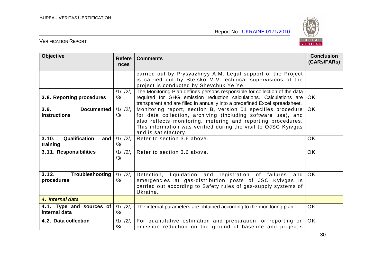

| <b>Objective</b>                                            | <b>Refere</b><br><b>nces</b> | <b>Comments</b>                                                                                                                                                                                                                                                                        | <b>Conclusion</b><br>(CARs/FARs) |
|-------------------------------------------------------------|------------------------------|----------------------------------------------------------------------------------------------------------------------------------------------------------------------------------------------------------------------------------------------------------------------------------------|----------------------------------|
|                                                             |                              | carried out by Prysyazhnyy A.M. Legal support of the Project<br>is carried out by Stetsko M.V. Technical supervisions of the<br>project is conducted by Shevchuk Ye.Ye.                                                                                                                |                                  |
| 3.8. Reporting procedures                                   | 11, 121,<br>/3/              | The Monitoring Plan defines persons responsible for collection of the data<br>required for GHG emission reduction calculations. Calculations are<br>transparent and are filled in annually into a predefined Excel spreadsheet.                                                        | <b>OK</b>                        |
| 3.9.<br><b>Documented</b><br><b>instructions</b>            | $/1/$ , $/2/$ ,<br>/3/       | Monitoring report, section B, version 01 specifies procedure<br>for data collection, archiving (including software use), and<br>also reflects monitoring, metering and reporting procedures.<br>This information was verified during the visit to OJSC Kyivgas<br>and is satisfactory. | OK.                              |
| 3.10.<br>Qualification<br>and<br>training                   | $/1/$ , $/2/$ ,<br>/3/       | Refer to section 3.6 above.                                                                                                                                                                                                                                                            | <b>OK</b>                        |
| 3.11. Responsibilities                                      | 11, 121,<br>/3/              | Refer to section 3.6 above.                                                                                                                                                                                                                                                            | <b>OK</b>                        |
| 3.12.<br>Troubleshooting<br>procedures                      | 11, 121,<br>/3/              | Detection, liquidation and registration of failures and<br>emergencies at gas-distribution posts of JSC Kyivgas is<br>carried out according to Safety rules of gas-supply systems of<br>Ukraine.                                                                                       | <b>OK</b>                        |
| 4. Internal data                                            |                              |                                                                                                                                                                                                                                                                                        |                                  |
| 4.1. Type and sources of $/1/1$ , $/2/1$ ,<br>internal data | /3/                          | The internal parameters are obtained according to the monitoring plan                                                                                                                                                                                                                  | <b>OK</b>                        |
| 4.2. Data collection                                        | $/1/$ , $/2/$ ,<br>/3/       | For quantitative estimation and preparation for reporting on<br>emission reduction on the ground of baseline and project's                                                                                                                                                             | <b>OK</b>                        |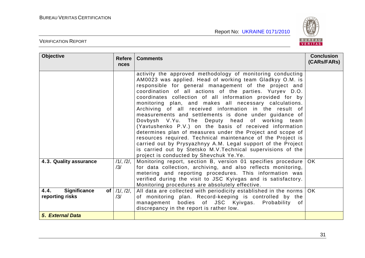

| <b>Objective</b>                                                  | <b>Refere</b><br><b>nces</b> | <b>Comments</b>                                                                                                                                                                                                                                                                                                                                                                                                                                                                                                                                                                                                                                                                                                                                                                                                                                                                                           | <b>Conclusion</b><br>(CARs/FARs) |
|-------------------------------------------------------------------|------------------------------|-----------------------------------------------------------------------------------------------------------------------------------------------------------------------------------------------------------------------------------------------------------------------------------------------------------------------------------------------------------------------------------------------------------------------------------------------------------------------------------------------------------------------------------------------------------------------------------------------------------------------------------------------------------------------------------------------------------------------------------------------------------------------------------------------------------------------------------------------------------------------------------------------------------|----------------------------------|
|                                                                   |                              | activity the approved methodology of monitoring conducting<br>AM0023 was applied. Head of working team Gladkyy O.M. is<br>responsible for general management of the project and<br>coordination of all actions of the parties. Yuryev D.O.<br>coordinates collection of all information provided for by<br>monitoring plan, and makes all necessary calculations.<br>Archiving of all received information in the result of<br>measurements and settlements is done under guidance of<br>Dovbysh V.Yu. The Deputy head of working team<br>(Yavtushenko P.V.) on the basis of received information<br>determines plan of measures under the Project and scope of<br>resources required. Technical maintenance of the Project is<br>carried out by Prysyazhnyy A.M. Legal support of the Project<br>is carried out by Stetsko M.V. Technical supervisions of the<br>project is conducted by Shevchuk Ye.Ye. |                                  |
| 4.3. Quality assurance                                            | 11, 121,<br>/3/              | Monitoring report, section B, version 01 specifies procedure<br>for data collection, archiving, and also reflects monitoring,<br>metering and reporting procedures. This information was<br>verified during the visit to JSC Kyivgas and is satisfactory.<br>Monitoring procedures are absolutely effective.                                                                                                                                                                                                                                                                                                                                                                                                                                                                                                                                                                                              | <b>OK</b>                        |
| 4.4.<br><b>Significance</b><br>of <sub>1</sub><br>reporting risks | $/1/$ , $/2/$ ,<br>/3/       | All data are collected with periodicity established in the norms<br>of monitoring plan. Record-keeping is controlled by the<br>management bodies of JSC Kyivgas. Probability<br>of<br>discrepancy in the report is rather low.                                                                                                                                                                                                                                                                                                                                                                                                                                                                                                                                                                                                                                                                            | <b>OK</b>                        |
| <b>5. External Data</b>                                           |                              |                                                                                                                                                                                                                                                                                                                                                                                                                                                                                                                                                                                                                                                                                                                                                                                                                                                                                                           |                                  |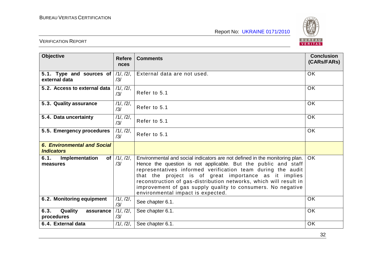

| <b>Objective</b>                                        | <b>Refere</b><br>nces | <b>Comments</b>                                                                                                                                                                                                                                                                                                                                                                                                                                | <b>Conclusion</b><br>(CARs/FARs) |
|---------------------------------------------------------|-----------------------|------------------------------------------------------------------------------------------------------------------------------------------------------------------------------------------------------------------------------------------------------------------------------------------------------------------------------------------------------------------------------------------------------------------------------------------------|----------------------------------|
| 5.1. Type and sources of<br>external data               | 11, 121,<br>/3/       | External data are not used.                                                                                                                                                                                                                                                                                                                                                                                                                    | OK                               |
| 5.2. Access to external data                            | 11, 121,<br>/3/       | Refer to 5.1                                                                                                                                                                                                                                                                                                                                                                                                                                   | <b>OK</b>                        |
| 5.3. Quality assurance                                  | 11, 121,<br>/3/       | Refer to 5.1                                                                                                                                                                                                                                                                                                                                                                                                                                   | OK                               |
| 5.4. Data uncertainty                                   | 11, 121,<br>/3/       | Refer to 5.1                                                                                                                                                                                                                                                                                                                                                                                                                                   | <b>OK</b>                        |
| 5.5. Emergency procedures                               | 11, 121,<br>/3/       | Refer to 5.1                                                                                                                                                                                                                                                                                                                                                                                                                                   | <b>OK</b>                        |
| <b>6. Environmental and Social</b><br><b>Indicators</b> |                       |                                                                                                                                                                                                                                                                                                                                                                                                                                                |                                  |
| 6.1.<br>Implementation<br>$of \sqrt{}$<br>measures      | 11, 121,<br>/3/       | Environmental and social indicators are not defined in the monitoring plan.<br>Hence the question is not applicable. But the public and staff<br>representatives informed verification team during the audit<br>that the project is of great importance as it implies<br>reconstruction of gas-distribution networks, which will result in<br>improvement of gas supply quality to consumers. No negative<br>environmental impact is expected. | OK.                              |
| 6.2. Monitoring equipment                               | 11, 121,<br>/3/       | See chapter 6.1.                                                                                                                                                                                                                                                                                                                                                                                                                               | <b>OK</b>                        |
| 6.3.<br>Quality<br>assurance<br>procedures              | 11, 121,<br>/3/       | See chapter 6.1.                                                                                                                                                                                                                                                                                                                                                                                                                               | OK                               |
| 6.4. External data                                      | 11, 121,              | See chapter 6.1.                                                                                                                                                                                                                                                                                                                                                                                                                               | OK                               |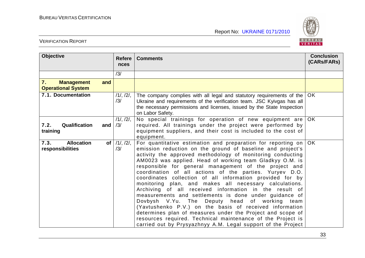

| <b>Objective</b>                                     | <b>Refere</b><br>nces                     | <b>Comments</b>                                                                                                                                                                                                                                                                                                                                                                                                                                                                                                                                                                                                                                                                                                                                                                                                                                                                                                                              | <b>Conclusion</b><br>(CARs/FARs) |
|------------------------------------------------------|-------------------------------------------|----------------------------------------------------------------------------------------------------------------------------------------------------------------------------------------------------------------------------------------------------------------------------------------------------------------------------------------------------------------------------------------------------------------------------------------------------------------------------------------------------------------------------------------------------------------------------------------------------------------------------------------------------------------------------------------------------------------------------------------------------------------------------------------------------------------------------------------------------------------------------------------------------------------------------------------------|----------------------------------|
|                                                      | /3/                                       |                                                                                                                                                                                                                                                                                                                                                                                                                                                                                                                                                                                                                                                                                                                                                                                                                                                                                                                                              |                                  |
| 7.<br><b>Management</b><br><b>Operational System</b> | and                                       |                                                                                                                                                                                                                                                                                                                                                                                                                                                                                                                                                                                                                                                                                                                                                                                                                                                                                                                                              |                                  |
| 7.1. Documentation                                   | 11, 121,<br>/3/                           | The company complies with all legal and statutory requirements of the<br>Ukraine and requirements of the verification team. JSC Kyivgas has all<br>the necessary permissions and licenses, issued by the State Inspection<br>on Labor Safety.                                                                                                                                                                                                                                                                                                                                                                                                                                                                                                                                                                                                                                                                                                | OK.                              |
| Qualification<br>7.2.<br>training                    | 11, 121,<br>and<br>/3/                    | No special trainings for operation of new equipment are<br>required. All trainings under the project were performed by<br>equipment suppliers, and their cost is included to the cost of<br>equipment.                                                                                                                                                                                                                                                                                                                                                                                                                                                                                                                                                                                                                                                                                                                                       | <b>OK</b>                        |
| 7.3.<br><b>Allocation</b><br>responsibilities        | $/1/$ , $/2/$ ,<br>of <sub>l</sub><br>/3/ | For quantitative estimation and preparation for reporting on $\overline{OK}$<br>emission reduction on the ground of baseline and project's<br>activity the approved methodology of monitoring conducting<br>AM0023 was applied. Head of working team Gladkyy O.M. is<br>responsible for general management of the project and<br>coordination of all actions of the parties. Yuryev D.O.<br>coordinates collection of all information provided for by<br>monitoring plan, and makes all necessary calculations.<br>Archiving of all received information in the result of<br>measurements and settlements is done under guidance of<br>Dovbysh V.Yu. The Deputy head of working team<br>(Yavtushenko P.V.) on the basis of received information<br>determines plan of measures under the Project and scope of<br>resources required. Technical maintenance of the Project is<br>carried out by Prysyazhnyy A.M. Legal support of the Project |                                  |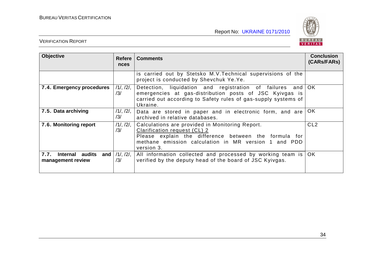

| <b>Objective</b>                                 | <b>Refere</b><br><b>nces</b> | <b>Comments</b>                                                                                                                                                                                                | <b>Conclusion</b><br>(CARs/FARs) |
|--------------------------------------------------|------------------------------|----------------------------------------------------------------------------------------------------------------------------------------------------------------------------------------------------------------|----------------------------------|
|                                                  |                              | is carried out by Stetsko M.V. Technical supervisions of the<br>project is conducted by Shevchuk Ye.Ye.                                                                                                        |                                  |
| 7.4. Emergency procedures                        | $/1/$ , $/2/$ ,<br>/3/       | Detection, liquidation and registration of failures and OK<br>emergencies at gas-distribution posts of JSC Kyivgas is<br>carried out according to Safety rules of gas-supply systems of<br>Ukraine.            |                                  |
| 7.5. Data archiving                              | $/1/$ , $/2/$ ,<br>/3/       | Data are stored in paper and in electronic form, and are<br>archived in relative databases.                                                                                                                    | OK                               |
| 7.6. Monitoring report                           | $/1/$ , $/2/$ ,<br>/3/       | Calculations are provided in Monitoring Report.<br>Clarification request (CL) 2<br>Please explain the difference between the formula for<br>methane emission calculation in MR version 1 and PDD<br>version 3. | CL <sub>2</sub>                  |
| 7.7.<br>Internal audits and<br>management review | $/1/$ , $/2/$ ,<br>/3/       | All information collected and processed by working team is<br>verified by the deputy head of the board of JSC Kyivgas.                                                                                         | OK.                              |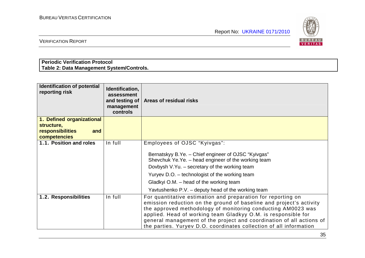

VERIFICATION REPORT

# **Periodic Verification Protocol Table 2: Data Management System/Controls.**

| <b>Identification of potential</b><br>reporting risk | Identification,<br>assessment<br>and testing of<br>management<br>controls | Areas of residual risks                                                                                                                                                                                                                                                                                                                                                                                            |
|------------------------------------------------------|---------------------------------------------------------------------------|--------------------------------------------------------------------------------------------------------------------------------------------------------------------------------------------------------------------------------------------------------------------------------------------------------------------------------------------------------------------------------------------------------------------|
| 1. Defined organizational                            |                                                                           |                                                                                                                                                                                                                                                                                                                                                                                                                    |
| structure,                                           |                                                                           |                                                                                                                                                                                                                                                                                                                                                                                                                    |
| <b>responsibilities</b><br>and<br>competencies       |                                                                           |                                                                                                                                                                                                                                                                                                                                                                                                                    |
| 1.1. Position and roles                              | In full                                                                   | Employees of OJSC "Kyivgas":                                                                                                                                                                                                                                                                                                                                                                                       |
|                                                      |                                                                           | Bernatskyy B.Ye. - Chief engineer of OJSC "Kyivgas"<br>Shevchuk Ye.Ye. - head engineer of the working team<br>Dovbysh V.Yu. - secretary of the working team<br>Yuryev D.O. – technologist of the working team<br>Gladkyi O.M. – head of the working team<br>Yavtushenko P.V. – deputy head of the working team                                                                                                     |
| 1.2. Responsibilities                                | In full                                                                   | For quantitative estimation and preparation for reporting on<br>emission reduction on the ground of baseline and project's activity<br>the approved methodology of monitoring conducting AM0023 was<br>applied. Head of working team Gladkyy O.M. is responsible for<br>general management of the project and coordination of all actions of<br>the parties. Yuryev D.O. coordinates collection of all information |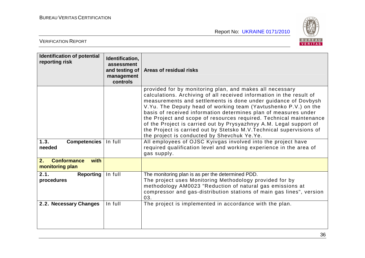

| <b>Identification of potential</b><br>reporting risk | Identification,<br>assessment<br>and testing of<br>management<br>controls | Areas of residual risks                                                                                                                                                                                                                                                                                                                                                                                                                                                                                                                                                                                                                                                                                                                           |
|------------------------------------------------------|---------------------------------------------------------------------------|---------------------------------------------------------------------------------------------------------------------------------------------------------------------------------------------------------------------------------------------------------------------------------------------------------------------------------------------------------------------------------------------------------------------------------------------------------------------------------------------------------------------------------------------------------------------------------------------------------------------------------------------------------------------------------------------------------------------------------------------------|
| 1.3.<br><b>Competencies</b><br>needed                | In full                                                                   | provided for by monitoring plan, and makes all necessary<br>calculations. Archiving of all received information in the result of<br>measurements and settlements is done under guidance of Dovbysh<br>V.Yu. The Deputy head of working team (Yavtushenko P.V.) on the<br>basis of received information determines plan of measures under<br>the Project and scope of resources required. Technical maintenance<br>of the Project is carried out by Prysyazhnyy A.M. Legal support of<br>the Project is carried out by Stetsko M.V. Technical supervisions of<br>the project is conducted by Shevchuk Ye.Ye.<br>All employees of OJSC Kyivgas involved into the project have<br>required qualification level and working experience in the area of |
|                                                      |                                                                           | gas supply.                                                                                                                                                                                                                                                                                                                                                                                                                                                                                                                                                                                                                                                                                                                                       |
| 2.<br><b>Conformance</b><br>with<br>monitoring plan  |                                                                           |                                                                                                                                                                                                                                                                                                                                                                                                                                                                                                                                                                                                                                                                                                                                                   |
| 2.1.<br><b>Reporting</b><br>procedures               | In full                                                                   | The monitoring plan is as per the determined PDD.<br>The project uses Monitoring Methodology provided for by<br>methodology AM0023 "Reduction of natural gas emissions at<br>compressor and gas-distribution stations of main gas lines", version<br>03.                                                                                                                                                                                                                                                                                                                                                                                                                                                                                          |
| 2.2. Necessary Changes                               | In full                                                                   | The project is implemented in accordance with the plan.                                                                                                                                                                                                                                                                                                                                                                                                                                                                                                                                                                                                                                                                                           |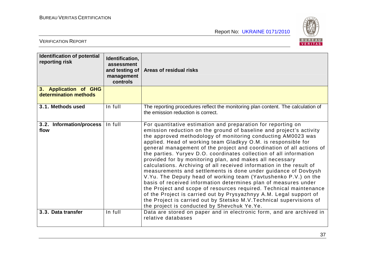

| <b>Identification of potential</b><br>reporting risk | Identification,<br>assessment<br>and testing of $ $<br>management<br>controls | Areas of residual risks                                                                                                                                                                                                                                                                                                                                                                                                                                                                                                                                                                                                                                                                                                                                                                                                                                                                                                                                                                                                           |
|------------------------------------------------------|-------------------------------------------------------------------------------|-----------------------------------------------------------------------------------------------------------------------------------------------------------------------------------------------------------------------------------------------------------------------------------------------------------------------------------------------------------------------------------------------------------------------------------------------------------------------------------------------------------------------------------------------------------------------------------------------------------------------------------------------------------------------------------------------------------------------------------------------------------------------------------------------------------------------------------------------------------------------------------------------------------------------------------------------------------------------------------------------------------------------------------|
| 3. Application of GHG<br>determination methods       |                                                                               |                                                                                                                                                                                                                                                                                                                                                                                                                                                                                                                                                                                                                                                                                                                                                                                                                                                                                                                                                                                                                                   |
| 3.1. Methods used                                    | In full                                                                       | The reporting procedures reflect the monitoring plan content. The calculation of<br>the emission reduction is correct.                                                                                                                                                                                                                                                                                                                                                                                                                                                                                                                                                                                                                                                                                                                                                                                                                                                                                                            |
| 3.2. Information/process<br>flow                     | In full                                                                       | For quantitative estimation and preparation for reporting on<br>emission reduction on the ground of baseline and project's activity<br>the approved methodology of monitoring conducting AM0023 was<br>applied. Head of working team Gladkyy O.M. is responsible for<br>general management of the project and coordination of all actions of<br>the parties. Yuryev D.O. coordinates collection of all information<br>provided for by monitoring plan, and makes all necessary<br>calculations. Archiving of all received information in the result of<br>measurements and settlements is done under guidance of Dovbysh<br>V.Yu. The Deputy head of working team (Yavtushenko P.V.) on the<br>basis of received information determines plan of measures under<br>the Project and scope of resources required. Technical maintenance<br>of the Project is carried out by Prysyazhnyy A.M. Legal support of<br>the Project is carried out by Stetsko M.V. Technical supervisions of<br>the project is conducted by Shevchuk Ye.Ye. |
| 3.3. Data transfer                                   | In full                                                                       | Data are stored on paper and in electronic form, and are archived in<br>relative databases                                                                                                                                                                                                                                                                                                                                                                                                                                                                                                                                                                                                                                                                                                                                                                                                                                                                                                                                        |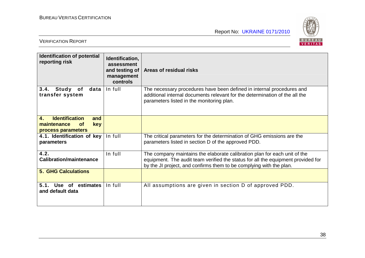

| <b>Identification of potential</b><br>reporting risk                                        | Identification,<br>assessment<br>and testing of<br>management<br>controls | Areas of residual risks                                                                                                                                                                                                              |
|---------------------------------------------------------------------------------------------|---------------------------------------------------------------------------|--------------------------------------------------------------------------------------------------------------------------------------------------------------------------------------------------------------------------------------|
| 3.4.<br>Study<br>of<br>data<br>transfer system                                              | In full                                                                   | The necessary procedures have been defined in internal procedures and<br>additional internal documents relevant for the determination of the all the<br>parameters listed in the monitoring plan.                                    |
| <b>Identification</b><br>4.<br>and<br>key<br>maintenance<br><b>of</b><br>process parameters |                                                                           |                                                                                                                                                                                                                                      |
| 4.1. Identification of key<br>parameters                                                    | In full                                                                   | The critical parameters for the determination of GHG emissions are the<br>parameters listed in section D of the approved PDD.                                                                                                        |
| 4.2.<br><b>Calibration/maintenance</b>                                                      | In full                                                                   | The company maintains the elaborate calibration plan for each unit of the<br>equipment. The audit team verified the status for all the equipment provided for<br>by the JI project, and confirms them to be complying with the plan. |
| <b>5. GHG Calculations</b>                                                                  |                                                                           |                                                                                                                                                                                                                                      |
| 5.1.<br>Use of estimates<br>and default data                                                | In full                                                                   | All assumptions are given in section D of approved PDD.                                                                                                                                                                              |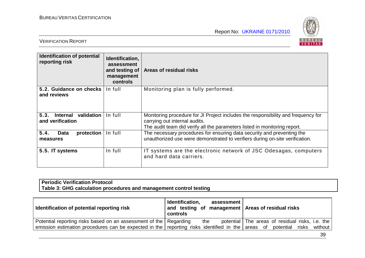

#### VERIFICATION REPORT

| <b>Identification of potential</b><br>reporting risk | Identification,<br>assessment<br>and testing of<br>management<br>controls | Areas of residual risks                                                                                                                                                                         |
|------------------------------------------------------|---------------------------------------------------------------------------|-------------------------------------------------------------------------------------------------------------------------------------------------------------------------------------------------|
| 5.2. Guidance on checks<br>and reviews               | In full                                                                   | Monitoring plan is fully performed.                                                                                                                                                             |
| 5.3.<br>Internal validation<br>and verification      | In full                                                                   | Monitoring procedure for JI Project includes the responsibility and frequency for<br>carrying out internal audits.<br>The audit team did verify all the parameters listed in monitoring report. |
| 5.4.<br>protection<br>Data<br>measures               | In full                                                                   | The necessary procedures for ensuring data security and preventing the<br>unauthorized use were demonstrated to verifiers during on-site verification.                                          |
| 5.5. IT systems                                      | In full                                                                   | IT systems are the electronic network of JSC Odesagas, computers<br>and hard data carriers.                                                                                                     |

### **Periodic Verification Protocol Table 3: GHG calculation procedures and management control testing**

| Identification of potential reporting risk                                                                       | Identification,<br>assessment<br>and testing of management $\vert$ Areas of residual risks<br>controls |                                                 |  |
|------------------------------------------------------------------------------------------------------------------|--------------------------------------------------------------------------------------------------------|-------------------------------------------------|--|
| Potential reporting risks based on an assessment of the Regarding                                                | the                                                                                                    | potential The areas of residual risks, i.e. the |  |
| emission estimation procedures can be expected in the reporting risks identified in the areas of potential risks |                                                                                                        | without                                         |  |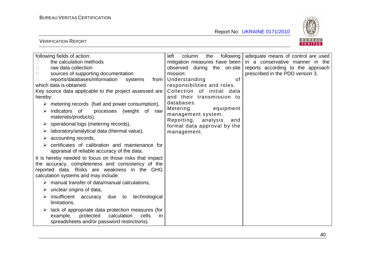

| following fields of action:                                             | left<br>column<br>the         | following adequate means of control are used |
|-------------------------------------------------------------------------|-------------------------------|----------------------------------------------|
| the calculation methods                                                 | mitigation measures have been | in a conservative manner in the              |
| raw data collection                                                     | observed during the on-site   | reports according to the approach            |
| sources of supporting documentation                                     | mission:                      | prescribed in the PDD version 3.             |
| reports/databases/information<br>systems<br>from                        | Understanding<br>οf           |                                              |
| which data is obtained.                                                 | responsibilities and roles.   |                                              |
| Key source data applicable to the project assessed are                  | Collection of initial data    |                                              |
| hereby:                                                                 | and their transmission to     |                                              |
| metering records (fuel and power consumption),<br>$\blacktriangleright$ | databases.                    |                                              |
| indicators of<br>processes (weight of<br>raw<br>➤                       | Metering<br>equipment         |                                              |
| materials/products),                                                    | management system.            |                                              |
| operational logs (metering records),                                    | Reporting,<br>analysis<br>and |                                              |
|                                                                         | formal data approval by the   |                                              |
| laboratory/analytical data (thermal value),<br>➤                        | management.                   |                                              |
| accounting records,<br>➤                                                |                               |                                              |
| certificates of calibration and maintenance for<br>$\triangleright$     |                               |                                              |
| appraisal of reliable accuracy of the data.                             |                               |                                              |
| It is hereby needed to focus on those risks that impact                 |                               |                                              |
| the accuracy, completeness and consistency of the                       |                               |                                              |
| reported data. Risks are weakness in the GHG                            |                               |                                              |
| calculation systems and may include:                                    |                               |                                              |
| $\triangleright$ manual transfer of data/manual calculations,           |                               |                                              |
| $\triangleright$ unclear origins of data,                               |                               |                                              |
| insufficient accuracy<br>due to<br>technological<br>➤                   |                               |                                              |
| limitations,                                                            |                               |                                              |
| lack of appropriate data protection measures (for<br>➤                  |                               |                                              |
| protected<br>calculation<br>cells<br>example,<br>in                     |                               |                                              |
| spreadsheets and/or password restrictions).                             |                               |                                              |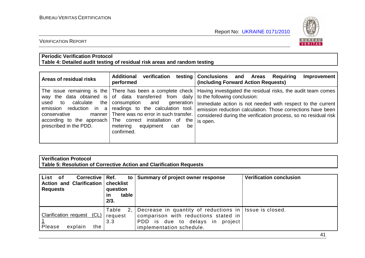

#### VERIFICATION REPORT

#### **Periodic Verification Protocol Table 4: Detailed audit testing of residual risk areas and random testing**

| Areas of residual risks                                                                            | <b>Additional</b><br>verification<br>performed                                                                                                                                                                                                                                            | testing Conclusions and Areas<br>Requiring<br>Improvement<br>(including Forward Action Requests)                                                                                                                                                                                                                                                                    |
|----------------------------------------------------------------------------------------------------|-------------------------------------------------------------------------------------------------------------------------------------------------------------------------------------------------------------------------------------------------------------------------------------------|---------------------------------------------------------------------------------------------------------------------------------------------------------------------------------------------------------------------------------------------------------------------------------------------------------------------------------------------------------------------|
| calculate<br>the  <br>used to<br>emission reduction in a<br>conservative<br>prescribed in the PDD. | way the data obtained is of data transferred from daily<br>consumption and generation<br>readings to the calculation tool.<br>manner   There was no error in such transfer.<br>according to the approach The correct installation of the<br>metering equipment<br>be<br>can<br>confirmed. | The issue remaining is the There has been a complete check Having investigated the residual risks, the audit team comes<br>to the following conclusion:<br>Immediate action is not needed with respect to the current<br>emission reduction calculation. Those corrections have been<br>considered during the verification process, so no residual risk<br>is open. |

# **Verification Protocol Table 5: Resolution of Corrective Action and Clarification Requests**

| List of<br>Corrective   Ref.<br>Action and Clarification   checklist<br><b>Requests</b> | to l<br>question<br>table<br>ın<br>2/3. | Summary of project owner response                                                                                                                             | <b>Verification conclusion</b> |
|-----------------------------------------------------------------------------------------|-----------------------------------------|---------------------------------------------------------------------------------------------------------------------------------------------------------------|--------------------------------|
| Clarification request (CL)<br>Please<br>explain<br>the                                  | Table<br>request<br>3.3                 | Decrease in quantity of reductions in Issue is closed.<br>comparison with reductions stated in<br>PDD is due to delays in project<br>implementation schedule. |                                |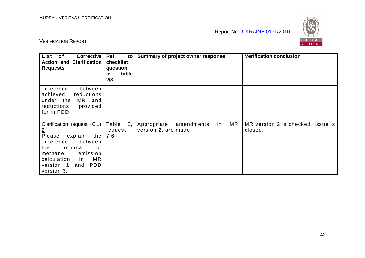

| <b>Corrective</b><br>List of<br><b>Action and Clarification</b><br><b>Requests</b>                                                                                                                                                  | Ref.<br>to<br>checklist<br>question<br>table<br><u>in</u><br>2/3. | Summary of project owner response                              | <b>Verification conclusion</b>               |
|-------------------------------------------------------------------------------------------------------------------------------------------------------------------------------------------------------------------------------------|-------------------------------------------------------------------|----------------------------------------------------------------|----------------------------------------------|
| difference<br>between<br>achieved<br>reductions<br>under the<br>MR and<br>provided<br>reductions<br>for in PDD.                                                                                                                     |                                                                   |                                                                |                                              |
| Clarification request (CL)<br>$\overline{2}$<br>Please<br>explain<br>the<br>difference<br>between<br>for<br>formula<br>the<br>methane<br>emission<br><b>MR</b><br>calculation<br>in<br><b>PDD</b><br>version 1<br>and<br>version 3. | Table<br>2,<br>request<br>7.6                                     | MR,<br>Appropriate<br>amendments<br>in<br>version 2, are made. | MR version 2 is checked. Issue is<br>closed. |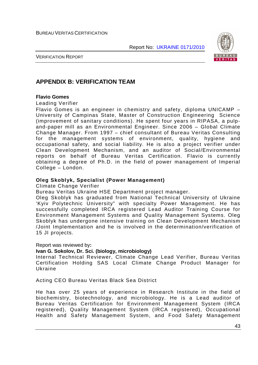

VERIFICATION REPORT

# **APPENDIX B: VERIFICATION TEAM**

#### **Flavio Gomes**

Leading Verifier

Flavio Gomes is an engineer in chemistry and safety, diploma UNICAMP – University of Campinas State, Master of Construction Engineering Science (improvement of sanitary conditions). He spent four years in RIPASA, a pulpand-paper mill as an Environmental Engineer. Since 2006 – Global Climate Change Manager. From 1997 – chief consultant of Bureau Veritas Consulting for the management systems of environment, quality, hygiene and occupational safety, and social liability. He is also a project verifier under Clean Development Mechanism, and an auditor of Social/Environmental reports on behalf of Bureau Veritas Certification. Flavio is currently obtaining a degree of Ph.D. in the field of power management of Imperial College – London.

#### **Oleg Skoblyk, Specialist (Power Management)**

Climate Change Verifier

Bureau Veritas Ukraine HSE Department project manager.

Oleg Skoblyk has graduated from National Technical University of Ukraine 'Kyiv Polytechnic University" with specialty Power Management. He has successfully completed IRCA registered Lead Auditor Training Course for Environment Management Systems and Quality Management Systems. Oleg Skoblyk has undergone intensive training on Clean Development Mechanism /Joint Implementation and he is involved in the determination/verification of 15 JI projects.

Report was reviewed by**:** 

#### **Ivan G. Sokolov, Dr. Sci. (biology, microbiology)**

Internal Technical Reviewer, Climate Change Lead Verifier, Bureau Veritas Certification Holding SAS Local Climate Change Product Manager for Ukraine

Acting CEO Bureau Veritas Black Sea District

He has over 25 years of experience in Research Institute in the field of biochemistry, biotechnology, and microbiology. He is a Lead auditor of Bureau Veritas Certification for Environment Management System (IRCA registered), Quality Management System (IRCA registered), Occupational Health and Safety Management System, and Food Safety Management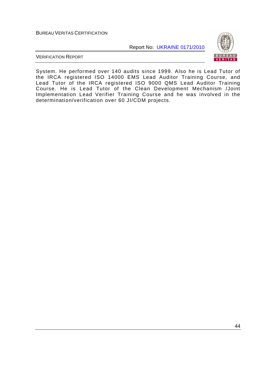Report No: UKRAINE 0171/2010



VERIFICATION REPORT

System. He performed over 140 audits since 1999. Also he is Lead Tutor of the IRCA registered ISO 14000 EMS Lead Auditor Training Course, and Lead Tutor of the IRCA registered ISO 9000 QMS Lead Auditor Training Course. He is Lead Tutor of the Clean Development Mechanism /Joint Implementation Lead Verifier Training Course and he was involved in the determination/verification over 60 JI/CDM projects.